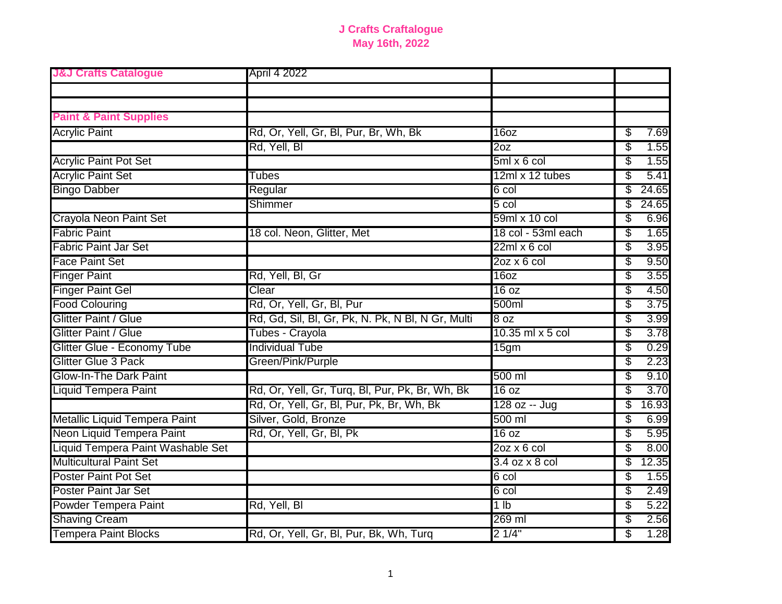| <b>J&amp;J Crafts Catalogue</b>   | April 4 2022                                      |                     |             |
|-----------------------------------|---------------------------------------------------|---------------------|-------------|
|                                   |                                                   |                     |             |
|                                   |                                                   |                     |             |
| <b>Paint &amp; Paint Supplies</b> |                                                   |                     |             |
| <b>Acrylic Paint</b>              | Rd, Or, Yell, Gr, Bl, Pur, Br, Wh, Bk             | 16 <sub>oz</sub>    | \$<br>7.69  |
|                                   | Rd, Yell, Bl                                      | 20z                 | \$<br>1.55  |
| <b>Acrylic Paint Pot Set</b>      |                                                   | $5ml \times 6 col$  | \$<br>1.55  |
| <b>Acrylic Paint Set</b>          | Tubes                                             | 12ml x 12 tubes     | \$<br>5.41  |
| <b>Bingo Dabber</b>               | Regular                                           | 6 col               | \$<br>24.65 |
|                                   | Shimmer                                           | $5$ col             | \$<br>24.65 |
| Crayola Neon Paint Set            |                                                   | 59ml x 10 col       | \$<br>6.96  |
| <b>Fabric Paint</b>               | 18 col. Neon, Glitter, Met                        | 18 col - 53ml each  | \$<br>1.65  |
| <b>Fabric Paint Jar Set</b>       |                                                   | $22ml \times 6 col$ | \$<br>3.95  |
| <b>Face Paint Set</b>             |                                                   | $2oz \times 6 col$  | \$<br>9.50  |
| <b>Finger Paint</b>               | Rd, Yell, Bl, Gr                                  | 16oz                | \$<br>3.55  |
| <b>Finger Paint Gel</b>           | Clear                                             | 16 oz               | \$<br>4.50  |
| <b>Food Colouring</b>             | Rd, Or, Yell, Gr, Bl, Pur                         | 500ml               | \$<br>3.75  |
| <b>Glitter Paint / Glue</b>       | Rd, Gd, Sil, Bl, Gr, Pk, N. Pk, N Bl, N Gr, Multi | 8 <sub>oz</sub>     | \$<br>3.99  |
| <b>Glitter Paint / Glue</b>       | Tubes - Crayola                                   | 10.35 ml x 5 col    | \$<br>3.78  |
| Glitter Glue - Economy Tube       | <b>Individual Tube</b>                            | 15gm                | \$<br>0.29  |
| <b>Glitter Glue 3 Pack</b>        | Green/Pink/Purple                                 |                     | \$<br>2.23  |
| <b>Glow-In-The Dark Paint</b>     |                                                   | 500 ml              | \$<br>9.10  |
| <b>Liquid Tempera Paint</b>       | Rd, Or, Yell, Gr, Turq, Bl, Pur, Pk, Br, Wh, Bk   | 16 oz               | \$<br>3.70  |
|                                   | Rd, Or, Yell, Gr, Bl, Pur, Pk, Br, Wh, Bk         | 128 oz -- Jug       | \$<br>16.93 |
| Metallic Liquid Tempera Paint     | Silver, Gold, Bronze                              | 500 ml              | \$<br>6.99  |
| Neon Liquid Tempera Paint         | Rd, Or, Yell, Gr, Bl, Pk                          | 16 oz               | \$<br>5.95  |
| Liquid Tempera Paint Washable Set |                                                   | $20z \times 6$ col  | \$<br>8.00  |
| <b>Multicultural Paint Set</b>    |                                                   | 3.4 oz x 8 col      | \$<br>12.35 |
| <b>Poster Paint Pot Set</b>       |                                                   | $6$ col             | \$<br>1.55  |
| <b>Poster Paint Jar Set</b>       |                                                   | 6 col               | \$<br>2.49  |
| <b>Powder Tempera Paint</b>       | Rd, Yell, Bl                                      | 1 <sub>lb</sub>     | \$<br>5.22  |
| <b>Shaving Cream</b>              |                                                   | 269 ml              | \$<br>2.56  |
| <b>Tempera Paint Blocks</b>       | Rd, Or, Yell, Gr, Bl, Pur, Bk, Wh, Turq           | 21/4"               | \$<br>1.28  |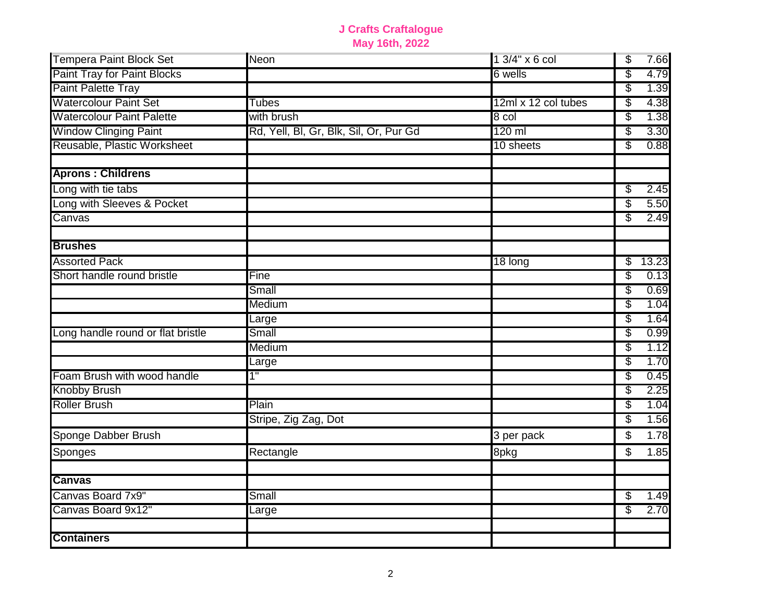| <b>Tempera Paint Block Set</b>     | Neon                                   | 1 3/4" x 6 col      | \$<br>7.66  |
|------------------------------------|----------------------------------------|---------------------|-------------|
| <b>Paint Tray for Paint Blocks</b> |                                        | 6 wells             | \$<br>4.79  |
| <b>Paint Palette Tray</b>          |                                        |                     | S<br>1.39   |
| <b>Watercolour Paint Set</b>       | Tubes                                  | 12ml x 12 col tubes | \$<br>4.38  |
| <b>Watercolour Paint Palette</b>   | with brush                             | 8 col               | 1.38<br>\$  |
| <b>Window Clinging Paint</b>       | Rd, Yell, Bl, Gr, Blk, Sil, Or, Pur Gd | 120 ml              | \$<br>3.30  |
| Reusable, Plastic Worksheet        |                                        | 10 sheets           | \$<br>0.88  |
| <b>Aprons: Childrens</b>           |                                        |                     |             |
| Long with tie tabs                 |                                        |                     | 2.45<br>\$  |
| Long with Sleeves & Pocket         |                                        |                     | \$<br>5.50  |
| Canvas                             |                                        |                     | S<br>2.49   |
| <b>Brushes</b>                     |                                        |                     |             |
| <b>Assorted Pack</b>               |                                        | 18 long             | 13.23<br>\$ |
| Short handle round bristle         | Fine                                   |                     | S<br>0.13   |
|                                    | Small                                  |                     | \$<br>0.69  |
|                                    | Medium                                 |                     | 1.04<br>\$  |
|                                    | Large                                  |                     | \$<br>1.64  |
| Long handle round or flat bristle  | Small                                  |                     | \$<br>0.99  |
|                                    | Medium                                 |                     | \$<br>1.12  |
|                                    | Large                                  |                     | \$<br>1.70  |
| Foam Brush with wood handle        | 1"                                     |                     | 0.45<br>3   |
| <b>Knobby Brush</b>                |                                        |                     | 2.25<br>\$  |
| <b>Roller Brush</b>                | Plain                                  |                     | \$<br>1.04  |
|                                    | Stripe, Zig Zag, Dot                   |                     | \$<br>1.56  |
| Sponge Dabber Brush                |                                        | 3 per pack          | \$<br>1.78  |
| Sponges                            | Rectangle                              | 8pkg                | \$<br>1.85  |
| <b>Canvas</b>                      |                                        |                     |             |
| Canvas Board 7x9"                  | Small                                  |                     | 1.49<br>\$  |
| Canvas Board 9x12"                 | Large                                  |                     | 2.70<br>\$  |
| <b>Containers</b>                  |                                        |                     |             |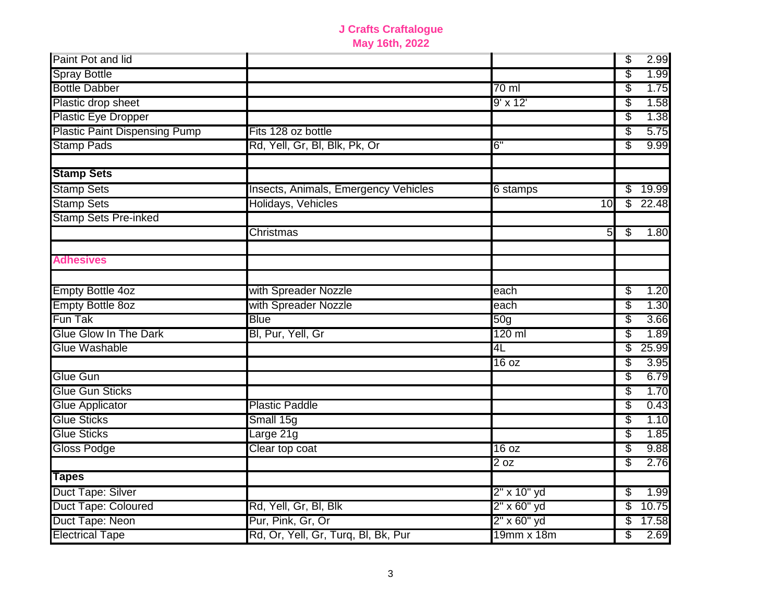| Paint Pot and lid                    |                                      |                  | \$       | 2.99         |
|--------------------------------------|--------------------------------------|------------------|----------|--------------|
| <b>Spray Bottle</b>                  |                                      |                  | S        | 1.99         |
| <b>Bottle Dabber</b>                 |                                      | $70 \mathrm{m}$  | \$       | 1.75         |
| Plastic drop sheet                   |                                      | 9' x 12'         | \$       | 1.58         |
| <b>Plastic Eye Dropper</b>           |                                      |                  | \$       | 1.38         |
| <b>Plastic Paint Dispensing Pump</b> | Fits 128 oz bottle                   |                  | \$       | 5.75         |
| <b>Stamp Pads</b>                    | Rd, Yell, Gr, Bl, Blk, Pk, Or        | 6"               | \$       | 9.99         |
| <b>Stamp Sets</b>                    |                                      |                  |          |              |
| <b>Stamp Sets</b>                    | Insects, Animals, Emergency Vehicles | 6 stamps         | \$       | 19.99        |
| <b>Stamp Sets</b>                    | Holidays, Vehicles                   | 10               | \$       | 22.48        |
| <b>Stamp Sets Pre-inked</b>          |                                      |                  |          |              |
|                                      | Christmas                            | 5 <sup>1</sup>   | S        | 1.80         |
| <b>Adhesives</b>                     |                                      |                  |          |              |
| <b>Empty Bottle 4oz</b>              | with Spreader Nozzle                 | each             | \$       | 1.20         |
| <b>Empty Bottle 8oz</b>              | with Spreader Nozzle                 | each             | \$       | 1.30         |
| Fun Tak                              | <b>Blue</b>                          | $\overline{50g}$ | \$       | 3.66         |
| <b>Glue Glow In The Dark</b>         | Bl, Pur, Yell, Gr                    | 120 ml           | \$       | 1.89         |
| <b>Glue Washable</b>                 |                                      | 4L               | S        | 25.99        |
|                                      |                                      | 16 oz            | \$       | 3.95         |
| <b>Glue Gun</b>                      |                                      |                  | \$       | 6.79         |
| <b>Glue Gun Sticks</b>               |                                      |                  | S        | 1.70         |
| <b>Glue Applicator</b>               | <b>Plastic Paddle</b>                |                  | S        | 0.43         |
| <b>Glue Sticks</b>                   | Small 15g                            |                  | \$       | 1.10         |
| <b>Glue Sticks</b>                   | arge 21g                             |                  | \$       | 1.85         |
| <b>Gloss Podge</b>                   | Clear top coat                       | 16 oz<br>2 oz    | \$<br>\$ | 9.88<br>2.76 |
| <b>Tapes</b>                         |                                      |                  |          |              |
| Duct Tape: Silver                    |                                      | 2" x 10" yd      | \$       | 1.99         |
| Duct Tape: Coloured                  | Rd, Yell, Gr, Bl, Blk                | 2" x 60" yd      | \$       | 10.75        |
| Duct Tape: Neon                      | Pur, Pink, Gr, Or                    | 2" x 60" yd      | \$       | 17.58        |
| <b>Electrical Tape</b>               | Rd, Or, Yell, Gr, Turq, Bl, Bk, Pur  | 19mm x 18m       | \$       | 2.69         |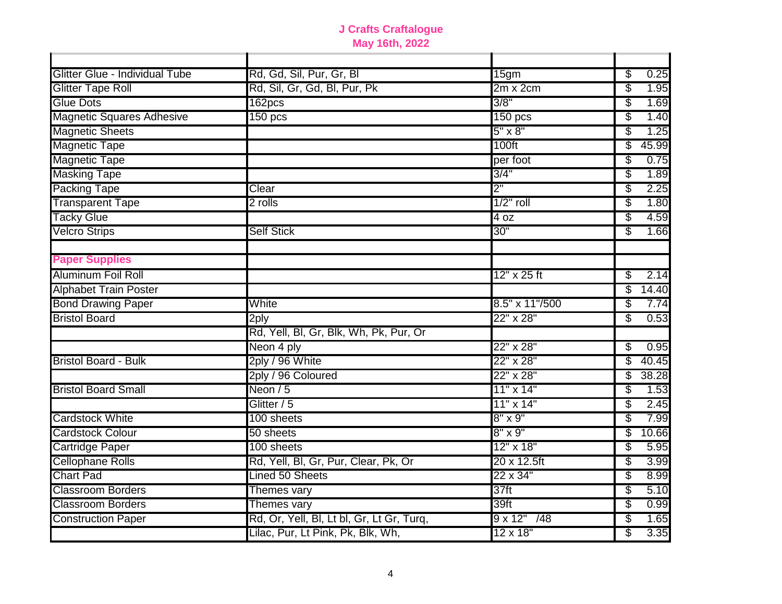| Glitter Glue - Individual Tube   | Rd, Gd, Sil, Pur, Gr, Bl                  | 15gm                  | \$<br>0.25  |
|----------------------------------|-------------------------------------------|-----------------------|-------------|
| <b>Glitter Tape Roll</b>         | Rd, Sil, Gr, Gd, Bl, Pur, Pk              | $2m \times 2cm$       | \$<br>1.95  |
| <b>Glue Dots</b>                 | 162pcs                                    | 3/8"                  | 1.69<br>\$  |
| <b>Magnetic Squares Adhesive</b> | 150 <sub>pcs</sub>                        | 150 pcs               | \$<br>1.40  |
| <b>Magnetic Sheets</b>           |                                           | $5" \times 8"$        | 1.25<br>\$  |
| <b>Magnetic Tape</b>             |                                           | 100ft                 | \$<br>45.99 |
| <b>Magnetic Tape</b>             |                                           | per foot              | \$<br>0.75  |
| <b>Masking Tape</b>              |                                           | 3/4"                  | \$<br>1.89  |
| <b>Packing Tape</b>              | Clear                                     | 2"                    | \$<br>2.25  |
| <b>Transparent Tape</b>          | 2 rolls                                   | $1/2"$ roll           | \$<br>1.80  |
| <b>Tacky Glue</b>                |                                           | 4 oz                  | \$<br>4.59  |
| <b>Velcro Strips</b>             | <b>Self Stick</b>                         | 30"                   | \$<br>1.66  |
| <b>Paper Supplies</b>            |                                           |                       |             |
| <b>Aluminum Foil Roll</b>        |                                           | 12" x 25 ft           | 2.14<br>\$  |
| <b>Alphabet Train Poster</b>     |                                           |                       | \$<br>14.40 |
| <b>Bond Drawing Paper</b>        | White                                     | 8.5" x 11"/500        | \$<br>7.74  |
| <b>Bristol Board</b>             | $2$ ply                                   | 22" x 28"             | \$<br>0.53  |
|                                  | Rd, Yell, Bl, Gr, Blk, Wh, Pk, Pur, Or    |                       |             |
|                                  | Neon 4 ply                                | 22" x 28"             | \$<br>0.95  |
| <b>Bristol Board - Bulk</b>      | 2ply / 96 White                           | 22" x 28"             | \$<br>40.45 |
|                                  | 2ply / 96 Coloured                        | 22" x 28"             | \$<br>38.28 |
| <b>Bristol Board Small</b>       | Neon $/5$                                 | 11" x 14"             | \$<br>1.53  |
|                                  | Glitter / 5                               | 11" x 14"             | \$<br>2.45  |
| <b>Cardstock White</b>           | 100 sheets                                | $8" \times 9"$        | \$<br>7.99  |
| <b>Cardstock Colour</b>          | 50 sheets                                 | $8" \times 9"$        | \$<br>10.66 |
| <b>Cartridge Paper</b>           | 100 sheets                                | 12" x 18"             | \$<br>5.95  |
| <b>Cellophane Rolls</b>          | Rd, Yell, Bl, Gr, Pur, Clear, Pk, Or      | 20 x 12.5ft           | \$<br>3.99  |
| <b>Chart Pad</b>                 | Lined 50 Sheets                           | 22 x 34"              | \$<br>8.99  |
| <b>Classroom Borders</b>         | Themes vary                               | 37 <sub>ft</sub>      | \$<br>5.10  |
| <b>Classroom Borders</b>         | Themes vary                               | 39ft                  | \$<br>0.99  |
| <b>Construction Paper</b>        | Rd, Or, Yell, Bl, Lt bl, Gr, Lt Gr, Turq, | $9 \times 12"$<br>/48 | \$<br>1.65  |
|                                  | Lilac, Pur, Lt Pink, Pk, Blk, Wh,         | 12 x 18"              | 3.35<br>\$  |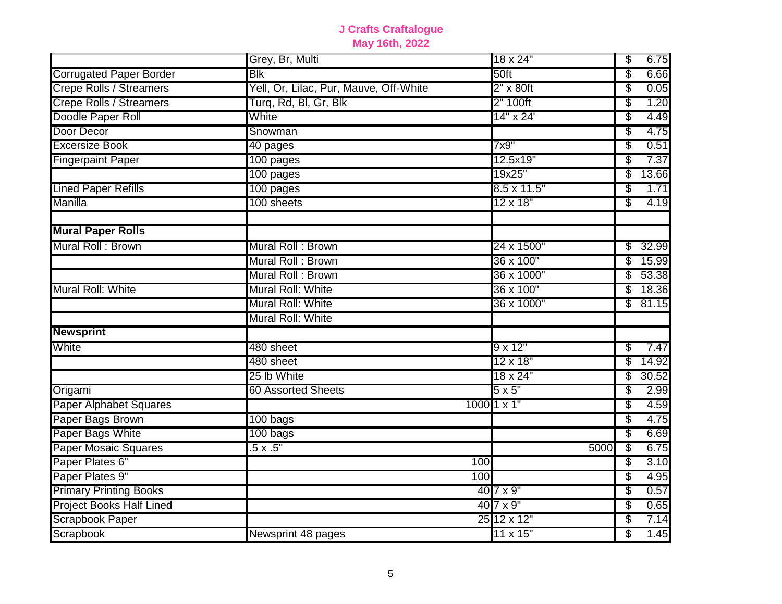|                                 | Grey, Br, Multi                        | 18 x 24"           | \$<br>6.75  |
|---------------------------------|----------------------------------------|--------------------|-------------|
| <b>Corrugated Paper Border</b>  | <b>Blk</b>                             | 50ft               | \$<br>6.66  |
| <b>Crepe Rolls / Streamers</b>  | Yell, Or, Lilac, Pur, Mauve, Off-White | $2" \times 80$ ft  | \$<br>0.05  |
| <b>Crepe Rolls / Streamers</b>  | Turq, Rd, Bl, Gr, Blk                  | 2" 100ft           | \$<br>1.20  |
| Doodle Paper Roll               | White                                  | 14" x 24'          | \$<br>4.49  |
| Door Decor                      | Snowman                                |                    | \$<br>4.75  |
| <b>Excersize Book</b>           | 40 pages                               | 7x9"               | \$<br>0.51  |
| <b>Fingerpaint Paper</b>        | 100 pages                              | 12.5x19"           | \$<br>7.37  |
|                                 | 100 pages                              | 19x25"             | \$<br>13.66 |
| <b>Lined Paper Refills</b>      | 100 pages                              | $8.5 \times 11.5"$ | \$<br>1.71  |
| Manilla                         | 100 sheets                             | 12 x 18"           | \$<br>4.19  |
| <b>Mural Paper Rolls</b>        |                                        |                    |             |
| Mural Roll: Brown               | Mural Roll: Brown                      | 24 x 1500"         | 32.99<br>\$ |
|                                 | Mural Roll: Brown                      | 36 x 100"          | 15.99<br>\$ |
|                                 | Mural Roll: Brown                      | 36 x 1000"         | \$<br>53.38 |
| Mural Roll: White               | Mural Roll: White                      | 36 x 100"          | \$<br>18.36 |
|                                 | Mural Roll: White                      | 36 x 1000"         | \$<br>81.15 |
|                                 | Mural Roll: White                      |                    |             |
| <b>Newsprint</b>                |                                        |                    |             |
| White                           | 480 sheet                              | $9 \times 12"$     | \$<br>7.47  |
|                                 | 480 sheet                              | 12 x 18"           | \$<br>14.92 |
|                                 | 25 lb White                            | 18 x 24"           | \$<br>30.52 |
| Origami                         | <b>60 Assorted Sheets</b>              | $5 \times 5"$      | \$<br>2.99  |
| <b>Paper Alphabet Squares</b>   |                                        | $1000$ 1 x 1"      | \$<br>4.59  |
| Paper Bags Brown                | 100 bags                               |                    | \$<br>4.75  |
| Paper Bags White                | 100 bags                               |                    | \$<br>6.69  |
| <b>Paper Mosaic Squares</b>     | $.5 \times .5"$                        | 5000               | \$<br>6.75  |
| Paper Plates 6"                 |                                        | 100                | \$<br>3.10  |
| Paper Plates 9"                 |                                        | 100                | \$<br>4.95  |
| <b>Primary Printing Books</b>   |                                        | $407 \times 9$ "   | \$<br>0.57  |
| <b>Project Books Half Lined</b> |                                        | $407 \times 9"$    | \$<br>0.65  |
| <b>Scrapbook Paper</b>          |                                        | 25 12 x 12"        | \$<br>7.14  |
| Scrapbook                       | Newsprint 48 pages                     | 11 x 15"           | \$<br>1.45  |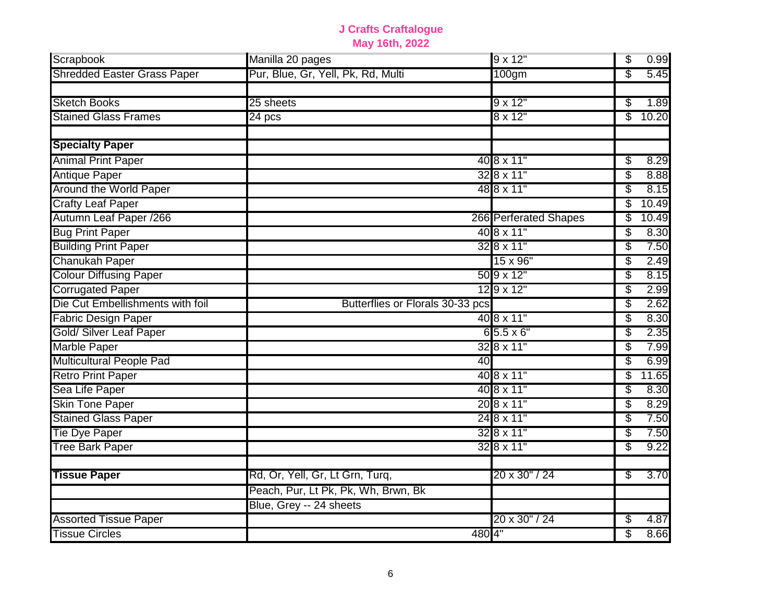| Scrapbook                          | Manilla 20 pages                    | 9 x 12"                      | 0.99<br>\$  |
|------------------------------------|-------------------------------------|------------------------------|-------------|
| <b>Shredded Easter Grass Paper</b> | Pur, Blue, Gr, Yell, Pk, Rd, Multi  | 100gm                        | \$<br>5.45  |
| <b>Sketch Books</b>                | 25 sheets                           | $9 \times 12"$               | 1.89<br>\$  |
| <b>Stained Glass Frames</b>        | 24 pcs                              | $8 \times 12"$               | \$<br>10.20 |
| <b>Specialty Paper</b>             |                                     |                              |             |
| <b>Animal Print Paper</b>          |                                     | 40 8 x 11"                   | 8.29<br>\$  |
| <b>Antique Paper</b>               |                                     | $328 \times 11$ "            | 8.88<br>\$  |
| <b>Around the World Paper</b>      |                                     | 48 8 x 11"                   | \$<br>8.15  |
| <b>Crafty Leaf Paper</b>           |                                     |                              | 10.49<br>\$ |
| Autumn Leaf Paper /266             |                                     | <b>266 Perferated Shapes</b> | \$<br>10.49 |
| <b>Bug Print Paper</b>             |                                     | 40 8 x 11"                   | \$<br>8.30  |
| <b>Building Print Paper</b>        |                                     | $328 \times 11$ "            | \$<br>7.50  |
| <b>Chanukah Paper</b>              |                                     | 15 x 96"                     | \$<br>2.49  |
| <b>Colour Diffusing Paper</b>      |                                     | 50 9 x 12"                   | \$<br>8.15  |
| <b>Corrugated Paper</b>            |                                     | $129 \times 12"$             | \$<br>2.99  |
| Die Cut Embellishments with foil   | Butterflies or Florals 30-33 pcs    |                              | \$<br>2.62  |
| <b>Fabric Design Paper</b>         |                                     | 40 8 x 11"                   | \$<br>8.30  |
| Gold/ Silver Leaf Paper            |                                     | $65.5 \times 6$ "            | \$<br>2.35  |
| Marble Paper                       |                                     | 32 8 x 11"                   | \$<br>7.99  |
| <b>Multicultural People Pad</b>    | 40                                  |                              | 6.99<br>\$  |
| <b>Retro Print Paper</b>           |                                     | 40 8 x 11"                   | \$<br>11.65 |
| Sea Life Paper                     |                                     | 40 8 x 11"                   | 8.30<br>\$  |
| <b>Skin Tone Paper</b>             |                                     | 20 8 x 11"                   | \$<br>8.29  |
| <b>Stained Glass Paper</b>         |                                     | 24 8 x 11"                   | \$<br>7.50  |
| Tie Dye Paper                      |                                     | 32 8 x 11"                   | \$<br>7.50  |
| <b>Tree Bark Paper</b>             |                                     | $328 \times 11$ "            | \$<br>9.22  |
| <b>Tissue Paper</b>                | Rd, Or, Yell, Gr, Lt Grn, Turq,     | 20 x 30" / 24                | 3.70<br>\$  |
|                                    | Peach, Pur, Lt Pk, Pk, Wh, Brwn, Bk |                              |             |
|                                    | Blue, Grey -- 24 sheets             |                              |             |
| <b>Assorted Tissue Paper</b>       |                                     | 20 x 30" / 24                | \$<br>4.87  |
| <b>Tissue Circles</b>              |                                     | 4804"                        | \$<br>8.66  |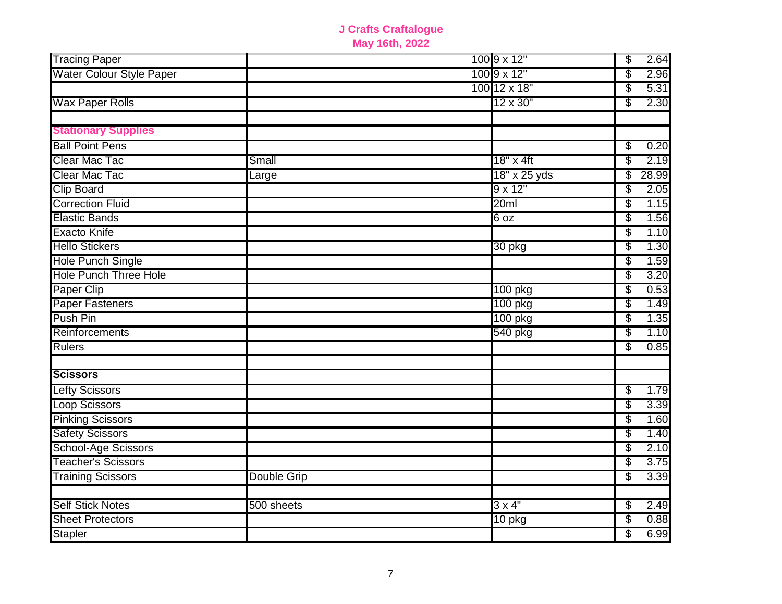| <b>Tracing Paper</b>            |                    | 100 9 x 12"     | \$<br>2.64  |
|---------------------------------|--------------------|-----------------|-------------|
| <b>Water Colour Style Paper</b> |                    | 100 9 x 12"     | \$<br>2.96  |
|                                 |                    | 100 12 x 18"    | \$<br>5.31  |
| <b>Wax Paper Rolls</b>          |                    | 12 x 30"        | \$<br>2.30  |
|                                 |                    |                 |             |
| <b>Stationary Supplies</b>      |                    |                 |             |
| <b>Ball Point Pens</b>          |                    |                 | 0.20<br>\$  |
| Clear Mac Tac                   | Small              | 18" x 4ft       | \$<br>2.19  |
| Clear Mac Tac                   | Large              | 18" x 25 yds    | 28.99<br>\$ |
| <b>Clip Board</b>               |                    | $9 \times 12"$  | 2.05<br>\$  |
| <b>Correction Fluid</b>         |                    | 20ml            | 1.15<br>\$  |
| <b>Elastic Bands</b>            |                    | 6 <sub>oz</sub> | \$<br>1.56  |
| <b>Exacto Knife</b>             |                    |                 | \$<br>1.10  |
| <b>Hello Stickers</b>           |                    | 30 pkg          | \$<br>1.30  |
| Hole Punch Single               |                    |                 | \$<br>1.59  |
| <b>Hole Punch Three Hole</b>    |                    |                 | \$<br>3.20  |
| Paper Clip                      |                    | 100 pkg         | 0.53<br>\$  |
| <b>Paper Fasteners</b>          |                    | 100 pkg         | \$<br>1.49  |
| <b>Push Pin</b>                 |                    | 100 pkg         | \$<br>1.35  |
| Reinforcements                  |                    | 540 pkg         | \$<br>1.10  |
| <b>Rulers</b>                   |                    |                 | \$<br>0.85  |
|                                 |                    |                 |             |
| <b>Scissors</b>                 |                    |                 |             |
| <b>Lefty Scissors</b>           |                    |                 | \$<br>1.79  |
| <b>Loop Scissors</b>            |                    |                 | 3.39<br>\$  |
| <b>Pinking Scissors</b>         |                    |                 | \$<br>1.60  |
| <b>Safety Scissors</b>          |                    |                 | \$<br>1.40  |
| School-Age Scissors             |                    |                 | \$<br>2.10  |
| <b>Teacher's Scissors</b>       |                    |                 | 3.75<br>\$  |
| <b>Training Scissors</b>        | <b>Double Grip</b> |                 | \$<br>3.39  |
|                                 |                    |                 |             |
| <b>Self Stick Notes</b>         | 500 sheets         | $3 \times 4"$   | 2.49<br>\$  |
| <b>Sheet Protectors</b>         |                    | $10$ pkg        | 0.88<br>\$  |
| <b>Stapler</b>                  |                    |                 | 6.99<br>\$  |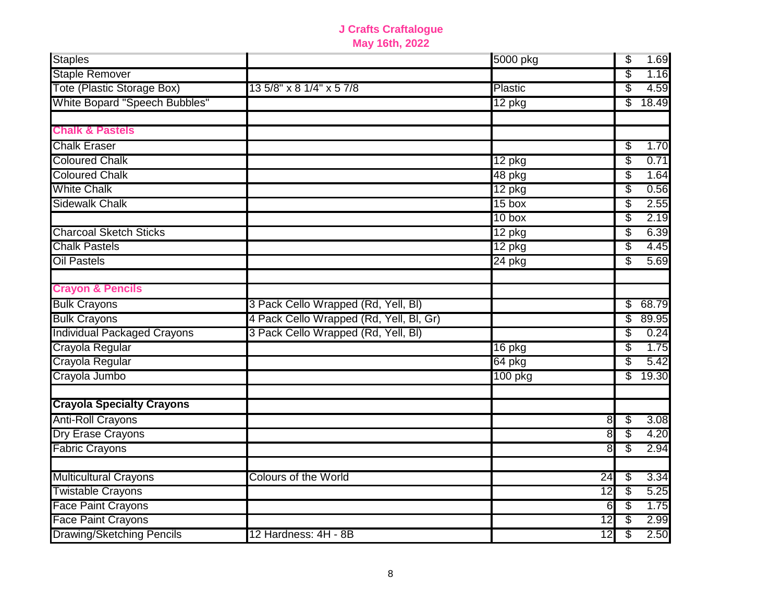| <b>Staples</b>                     |                                         | 5000 pkg |                 | \$ | 1.69  |
|------------------------------------|-----------------------------------------|----------|-----------------|----|-------|
| <b>Staple Remover</b>              |                                         |          |                 | \$ | 1.16  |
| Tote (Plastic Storage Box)         | 13 5/8" x 8 1/4" x 5 7/8                | Plastic  |                 | \$ | 4.59  |
| White Bopard "Speech Bubbles"      |                                         | 12 pkg   |                 | \$ | 18.49 |
| <b>Chalk &amp; Pastels</b>         |                                         |          |                 |    |       |
| <b>Chalk Eraser</b>                |                                         |          |                 | \$ | 1.70  |
| <b>Coloured Chalk</b>              |                                         | $12$ pkg |                 | \$ | 0.71  |
| <b>Coloured Chalk</b>              |                                         | 48 pkg   |                 | \$ | 1.64  |
| <b>White Chalk</b>                 |                                         | 12 pkg   |                 | \$ | 0.56  |
| <b>Sidewalk Chalk</b>              |                                         | 15 box   |                 | \$ | 2.55  |
|                                    |                                         | $10$ box |                 | \$ | 2.19  |
| <b>Charcoal Sketch Sticks</b>      |                                         | 12 pkg   |                 | \$ | 6.39  |
| <b>Chalk Pastels</b>               |                                         | 12 pkg   |                 | \$ | 4.45  |
| <b>Oil Pastels</b>                 |                                         | $24$ pkg |                 | S  | 5.69  |
| <b>Crayon &amp; Pencils</b>        |                                         |          |                 |    |       |
| <b>Bulk Crayons</b>                | 3 Pack Cello Wrapped (Rd, Yell, BI)     |          |                 | \$ | 68.79 |
| <b>Bulk Crayons</b>                | 4 Pack Cello Wrapped (Rd, Yell, Bl, Gr) |          |                 | \$ | 89.95 |
| <b>Individual Packaged Crayons</b> | 3 Pack Cello Wrapped (Rd, Yell, BI)     |          |                 | \$ | 0.24  |
| Crayola Regular                    |                                         | 16 pkg   |                 | \$ | 1.75  |
| Crayola Regular                    |                                         | 64 pkg   |                 | \$ | 5.42  |
| Crayola Jumbo                      |                                         | 100 pkg  |                 | \$ | 19.30 |
| <b>Crayola Specialty Crayons</b>   |                                         |          |                 |    |       |
| <b>Anti-Roll Crayons</b>           |                                         |          | $\overline{8}$  | \$ | 3.08  |
| Dry Erase Crayons                  |                                         |          | 8               | \$ | 4.20  |
| <b>Fabric Crayons</b>              |                                         |          | 8               | \$ | 2.94  |
| <b>Multicultural Crayons</b>       | <b>Colours of the World</b>             |          | $\overline{24}$ | \$ | 3.34  |
| <b>Twistable Crayons</b>           |                                         |          | $\overline{12}$ | \$ | 5.25  |
| <b>Face Paint Crayons</b>          |                                         |          | 6               | \$ | 1.75  |
| <b>Face Paint Crayons</b>          |                                         |          | $\overline{12}$ | \$ | 2.99  |
| <b>Drawing/Sketching Pencils</b>   | 12 Hardness: 4H - 8B                    |          | 12              | \$ | 2.50  |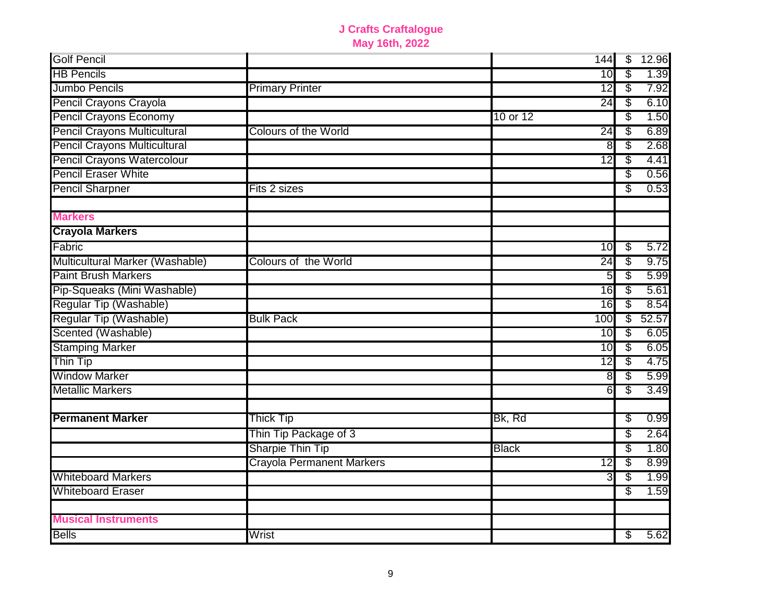| <b>Golf Pencil</b>                  |                                  |              | 144             | $\overline{\$}$ | 12.96 |
|-------------------------------------|----------------------------------|--------------|-----------------|-----------------|-------|
| <b>HB Pencils</b>                   |                                  |              | 10              | \$              | 1.39  |
| Jumbo Pencils                       | <b>Primary Printer</b>           |              | $\overline{12}$ | \$              | 7.92  |
| Pencil Crayons Crayola              |                                  |              | 24              | S               | 6.10  |
| <b>Pencil Crayons Economy</b>       |                                  | 10 or 12     |                 | S               | 1.50  |
| Pencil Crayons Multicultural        | <b>Colours of the World</b>      |              | $\overline{24}$ | \$              | 6.89  |
| <b>Pencil Crayons Multicultural</b> |                                  |              | 8               | S               | 2.68  |
| Pencil Crayons Watercolour          |                                  |              | $\overline{12}$ | S               | 4.41  |
| <b>Pencil Eraser White</b>          |                                  |              |                 | S               | 0.56  |
| <b>Pencil Sharpner</b>              | Fits 2 sizes                     |              |                 | S               | 0.53  |
| <b>Markers</b>                      |                                  |              |                 |                 |       |
| <b>Crayola Markers</b>              |                                  |              |                 |                 |       |
| Fabric                              |                                  |              | 10              | \$              | 5.72  |
| Multicultural Marker (Washable)     | <b>Colours of the World</b>      |              | $\overline{24}$ | \$              | 9.75  |
| <b>Paint Brush Markers</b>          |                                  |              | 5 <sub>5</sub>  | \$              | 5.99  |
| Pip-Squeaks (Mini Washable)         |                                  |              | 16              | \$              | 5.61  |
| Regular Tip (Washable)              |                                  |              | 16              | \$              | 8.54  |
| Regular Tip (Washable)              | <b>Bulk Pack</b>                 |              | 100             | $\overline{\$}$ | 52.57 |
| Scented (Washable)                  |                                  |              | 10              | \$              | 6.05  |
| <b>Stamping Marker</b>              |                                  |              | 10              | \$              | 6.05  |
| Thin Tip                            |                                  |              | $\overline{12}$ | \$              | 4.75  |
| <b>Window Marker</b>                |                                  |              | 8               | \$              | 5.99  |
| <b>Metallic Markers</b>             |                                  |              | 6               | S               | 3.49  |
| <b>Permanent Marker</b>             | Thick Tip                        | Bk, Rd       |                 | \$              | 0.99  |
|                                     | Thin Tip Package of 3            |              |                 | \$              | 2.64  |
|                                     | Sharpie Thin Tip                 | <b>Black</b> |                 | \$              | 1.80  |
|                                     | <b>Crayola Permanent Markers</b> |              | $\overline{12}$ | \$              | 8.99  |
| <b>Whiteboard Markers</b>           |                                  |              | 3               | \$              | 1.99  |
| <b>Whiteboard Eraser</b>            |                                  |              |                 | S               | 1.59  |
| <b>Musical Instruments</b>          |                                  |              |                 |                 |       |
| <b>Bells</b>                        | Wrist                            |              |                 | S               | 5.62  |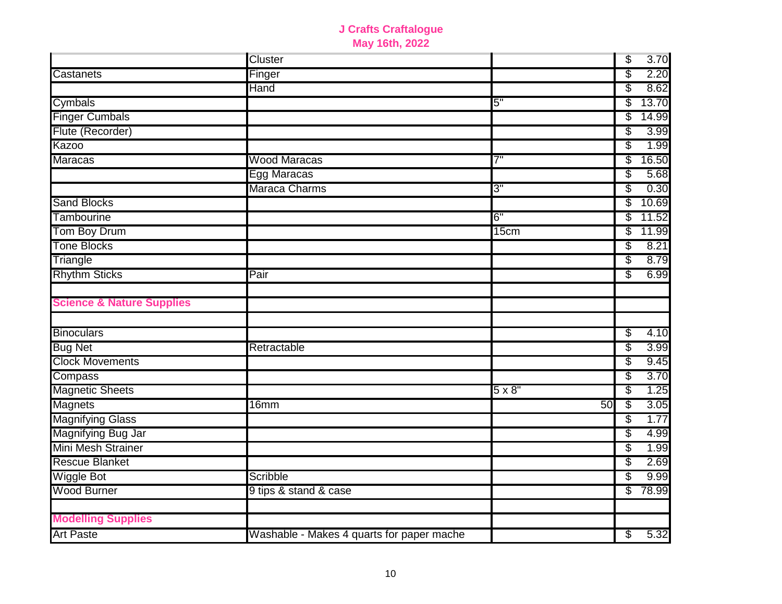|                                      | <b>Cluster</b>                            |               | \$<br>3.70  |
|--------------------------------------|-------------------------------------------|---------------|-------------|
| Castanets                            | Finger                                    |               | \$<br>2.20  |
|                                      | Hand                                      |               | \$<br>8.62  |
| Cymbals                              |                                           | 5"            | \$<br>13.70 |
| <b>Finger Cumbals</b>                |                                           |               | \$<br>14.99 |
| Flute (Recorder)                     |                                           |               | \$<br>3.99  |
| <b>Kazoo</b>                         |                                           |               | \$<br>1.99  |
| <b>Maracas</b>                       | <b>Wood Maracas</b>                       | 7"            | \$<br>16.50 |
|                                      | Egg Maracas                               |               | \$<br>5.68  |
|                                      | Maraca Charms                             | 3"            | \$<br>0.30  |
| <b>Sand Blocks</b>                   |                                           |               | \$<br>10.69 |
| <b>Tambourine</b>                    |                                           | 6"            | \$<br>11.52 |
| Tom Boy Drum                         |                                           | 15cm          | \$<br>11.99 |
| <b>Tone Blocks</b>                   |                                           |               | \$<br>8.21  |
| Triangle                             |                                           |               | \$<br>8.79  |
| <b>Rhythm Sticks</b>                 | Pair                                      |               | \$<br>6.99  |
|                                      |                                           |               |             |
| <b>Science &amp; Nature Supplies</b> |                                           |               |             |
|                                      |                                           |               |             |
| <b>Binoculars</b>                    |                                           |               | \$<br>4.10  |
| <b>Bug Net</b>                       | Retractable                               |               | \$<br>3.99  |
| <b>Clock Movements</b>               |                                           |               | \$<br>9.45  |
| Compass                              |                                           |               | \$<br>3.70  |
| <b>Magnetic Sheets</b>               |                                           | $5 \times 8"$ | \$<br>1.25  |
| <b>Magnets</b>                       | 16mm                                      | 50            | \$<br>3.05  |
| <b>Magnifying Glass</b>              |                                           |               | \$<br>1.77  |
| Magnifying Bug Jar                   |                                           |               | \$<br>4.99  |
| Mini Mesh Strainer                   |                                           |               | \$<br>1.99  |
| <b>Rescue Blanket</b>                |                                           |               | \$<br>2.69  |
| <b>Wiggle Bot</b>                    | Scribble                                  |               | \$<br>9.99  |
| <b>Wood Burner</b>                   | 9 tips & stand & case                     |               | \$<br>78.99 |
|                                      |                                           |               |             |
| <b>Modelling Supplies</b>            |                                           |               |             |
| <b>Art Paste</b>                     | Washable - Makes 4 quarts for paper mache |               | \$<br>5.32  |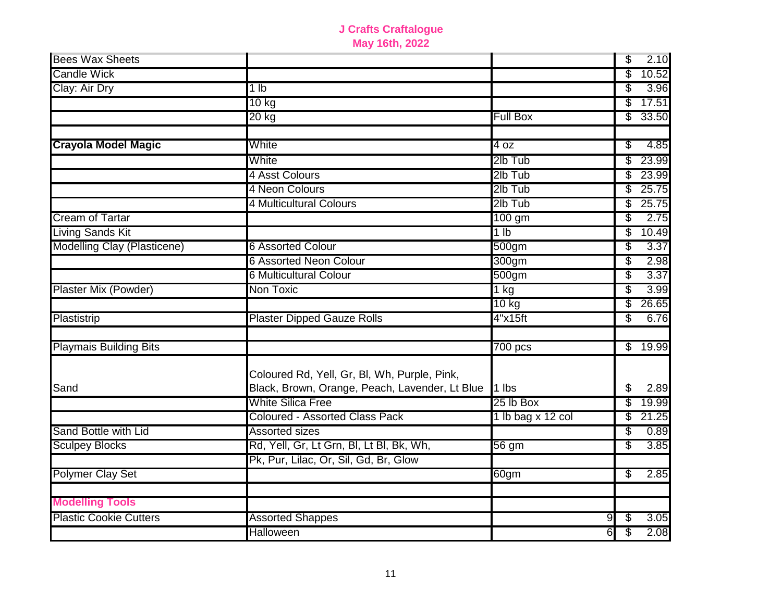| <b>Bees Wax Sheets</b>        |                                                                                                |                   | \$                            | 2.10    |
|-------------------------------|------------------------------------------------------------------------------------------------|-------------------|-------------------------------|---------|
| <b>Candle Wick</b>            |                                                                                                |                   | \$                            | 10.52   |
| Clay: Air Dry                 | 1 <sub>lb</sub>                                                                                |                   | \$                            | 3.96    |
|                               | $10$ kg                                                                                        |                   | S                             | 17.51   |
|                               | $20$ kg                                                                                        | <b>Full Box</b>   | \$                            | 33.50   |
| <b>Crayola Model Magic</b>    | White                                                                                          | 4 oz              | \$                            | 4.85    |
|                               | White                                                                                          | 2lb Tub           | \$                            | 23.99   |
|                               | 4 Asst Colours                                                                                 | 2lb Tub           | \$                            | 23.99   |
|                               | 4 Neon Colours                                                                                 | 2lb Tub           | \$                            | 25.75   |
|                               | 4 Multicultural Colours                                                                        | 2lb Tub           | \$                            | 25.75   |
| <b>Cream of Tartar</b>        |                                                                                                | $100$ gm          | \$                            | 2.75    |
| Living Sands Kit              |                                                                                                | 1 lb              | \$                            | 10.49   |
| Modelling Clay (Plasticene)   | <b>6 Assorted Colour</b>                                                                       | 500 <sub>gm</sub> | S                             | 3.37    |
|                               | 6 Assorted Neon Colour                                                                         | 300gm             | \$                            | 2.98    |
|                               | 6 Multicultural Colour                                                                         | 500 <sub>gm</sub> | \$                            | 3.37    |
| Plaster Mix (Powder)          | Non Toxic                                                                                      | 1 kg              | \$                            | 3.99    |
|                               |                                                                                                | $10$ kg           | \$                            | 26.65   |
| Plastistrip                   | <b>Plaster Dipped Gauze Rolls</b>                                                              | 4"x15ft           | S                             | 6.76    |
| <b>Playmais Building Bits</b> |                                                                                                | $700$ pcs         |                               | \$19.99 |
| Sand                          | Coloured Rd, Yell, Gr, Bl, Wh, Purple, Pink,<br>Black, Brown, Orange, Peach, Lavender, Lt Blue | 1 lbs             | \$                            | 2.89    |
|                               | <b>White Silica Free</b>                                                                       | 25 lb Box         | \$                            | 19.99   |
|                               | <b>Coloured - Assorted Class Pack</b>                                                          | 1 lb bag x 12 col | \$                            | 21.25   |
| Sand Bottle with Lid          | <b>Assorted sizes</b>                                                                          |                   | \$                            | 0.89    |
| <b>Sculpey Blocks</b>         | Rd, Yell, Gr, Lt Grn, Bl, Lt Bl, Bk, Wh,                                                       | 56 gm             | \$                            | 3.85    |
|                               | Pk, Pur, Lilac, Or, Sil, Gd, Br, Glow                                                          |                   |                               |         |
| <b>Polymer Clay Set</b>       |                                                                                                | 60gm              | \$                            | 2.85    |
| <b>Modelling Tools</b>        |                                                                                                |                   |                               |         |
| <b>Plastic Cookie Cutters</b> | <b>Assorted Shappes</b>                                                                        |                   | 9<br>S                        | 3.05    |
|                               | Halloween                                                                                      |                   | $\overline{\mathcal{S}}$<br>6 | 2.08    |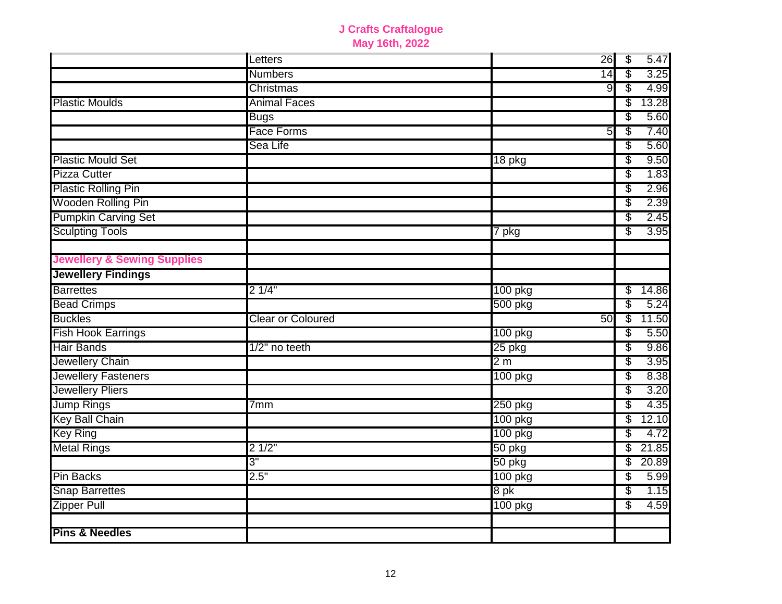|                                        | Letters                  | 26             | \$ | 5.47  |
|----------------------------------------|--------------------------|----------------|----|-------|
|                                        | <b>Numbers</b>           | 14             | \$ | 3.25  |
|                                        | Christmas                | 9              | \$ | 4.99  |
| <b>Plastic Moulds</b>                  | <b>Animal Faces</b>      |                | \$ | 13.28 |
|                                        | <b>Bugs</b>              |                | S  | 5.60  |
|                                        | <b>Face Forms</b>        | 5              | \$ | 7.40  |
|                                        | Sea Life                 |                | \$ | 5.60  |
| <b>Plastic Mould Set</b>               |                          | $18$ pkg       | \$ | 9.50  |
| <b>Pizza Cutter</b>                    |                          |                | \$ | 1.83  |
| <b>Plastic Rolling Pin</b>             |                          |                | \$ | 2.96  |
| <b>Wooden Rolling Pin</b>              |                          |                | \$ | 2.39  |
| <b>Pumpkin Carving Set</b>             |                          |                | \$ | 2.45  |
| <b>Sculpting Tools</b>                 |                          | 7 pkg          | \$ | 3.95  |
| <b>Jewellery &amp; Sewing Supplies</b> |                          |                |    |       |
| <b>Jewellery Findings</b>              |                          |                |    |       |
| <b>Barrettes</b>                       | 21/4"                    | 100 pkg        | \$ | 14.86 |
| <b>Bead Crimps</b>                     |                          | 500 pkg        | \$ | 5.24  |
| <b>Buckles</b>                         | <b>Clear or Coloured</b> | 50             | \$ | 11.50 |
| <b>Fish Hook Earrings</b>              |                          | 100 pkg        | \$ | 5.50  |
| <b>Hair Bands</b>                      | 1/2" no teeth            | 25 pkg         | \$ | 9.86  |
| Jewellery Chain                        |                          | 2 <sub>m</sub> | \$ | 3.95  |
| <b>Jewellery Fasteners</b>             |                          | 100 pkg        | \$ | 8.38  |
| <b>Jewellery Pliers</b>                |                          |                | \$ | 3.20  |
| <b>Jump Rings</b>                      | 7mm                      | 250 pkg        | \$ | 4.35  |
| Key Ball Chain                         |                          | 100 pkg        | \$ | 12.10 |
| <b>Key Ring</b>                        |                          | 100 pkg        | \$ | 4.72  |
| <b>Metal Rings</b>                     | 21/2"                    | 50 pkg         | \$ | 21.85 |
|                                        | 3"                       | 50 pkg         | \$ | 20.89 |
| <b>Pin Backs</b>                       | 2.5"                     | 100 pkg        | \$ | 5.99  |
| <b>Snap Barrettes</b>                  |                          | 8 pk           | \$ | 1.15  |
| <b>Zipper Pull</b>                     |                          | 100 pkg        | \$ | 4.59  |
| <b>Pins &amp; Needles</b>              |                          |                |    |       |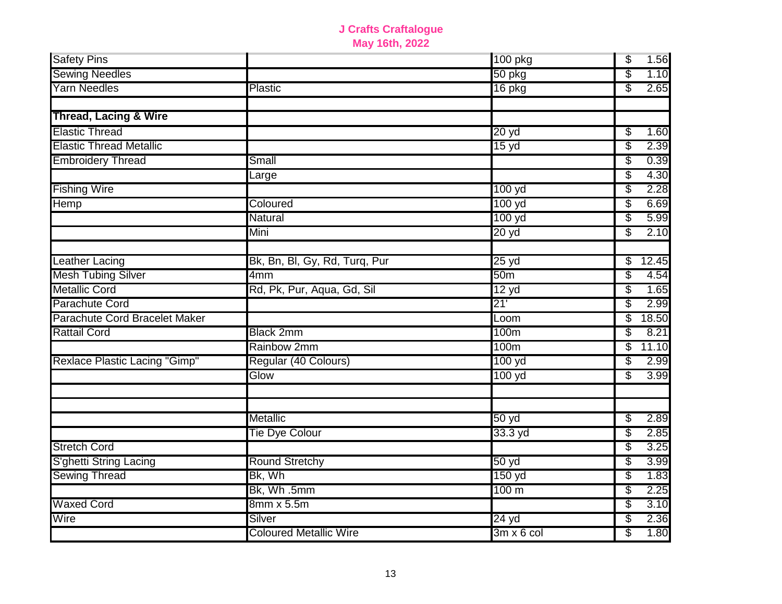| <b>Safety Pins</b>               |                               | 100 pkg           | \$<br>1.56  |
|----------------------------------|-------------------------------|-------------------|-------------|
| <b>Sewing Needles</b>            |                               | 50 pkg            | \$<br>1.10  |
| <b>Yarn Needles</b>              | <b>Plastic</b>                | 16 pkg            | \$<br>2.65  |
| <b>Thread, Lacing &amp; Wire</b> |                               |                   |             |
| <b>Elastic Thread</b>            |                               | 20 yd             | \$<br>1.60  |
| <b>Elastic Thread Metallic</b>   |                               | 15 <sub>yd</sub>  | \$<br>2.39  |
| <b>Embroidery Thread</b>         | Small                         |                   | \$<br>0.39  |
|                                  | Large                         |                   | \$<br>4.30  |
| <b>Fishing Wire</b>              |                               | 100 yd            | 2.28<br>\$  |
| Hemp                             | Coloured                      | 100 yd            | \$<br>6.69  |
|                                  | Natural                       | 100 yd            | \$<br>5.99  |
|                                  | Mini                          | 20 yd             | \$<br>2.10  |
|                                  |                               |                   |             |
| <b>Leather Lacing</b>            | Bk, Bn, Bl, Gy, Rd, Turq, Pur | 25 yd             | 12.45<br>\$ |
| <b>Mesh Tubing Silver</b>        | 4mm                           | 50 <sub>m</sub>   | \$<br>4.54  |
| <b>Metallic Cord</b>             | Rd, Pk, Pur, Aqua, Gd, Sil    | 12 yd             | \$<br>1.65  |
| Parachute Cord                   |                               | 21'               | \$<br>2.99  |
| Parachute Cord Bracelet Maker    |                               | Loom              | \$<br>18.50 |
| <b>Rattail Cord</b>              | <b>Black 2mm</b>              | 100m              | \$<br>8.21  |
|                                  | Rainbow 2mm                   | 100m              | \$<br>11.10 |
| Rexlace Plastic Lacing "Gimp"    | Regular (40 Colours)          | 100 yd            | \$<br>2.99  |
|                                  | Glow                          | 100 yd            | \$<br>3.99  |
|                                  |                               |                   |             |
|                                  | Metallic                      | 50 yd             | \$<br>2.89  |
|                                  | Tie Dye Colour                | $33.3$ yd         | \$<br>2.85  |
| <b>Stretch Cord</b>              |                               |                   | \$<br>3.25  |
| S'ghetti String Lacing           | <b>Round Stretchy</b>         | 50yd              | \$<br>3.99  |
| <b>Sewing Thread</b>             | Bk, Wh                        | 150 yd            | 1.83<br>\$  |
|                                  | Bk, Wh.5mm                    | 100 <sub>m</sub>  | \$<br>2.25  |
| <b>Waxed Cord</b>                | 8mm x 5.5m                    |                   | \$<br>3.10  |
| Wire                             | Silver                        | $24 \text{ yd}$   | \$<br>2.36  |
|                                  | <b>Coloured Metallic Wire</b> | $3m \times 6$ col | \$<br>1.80  |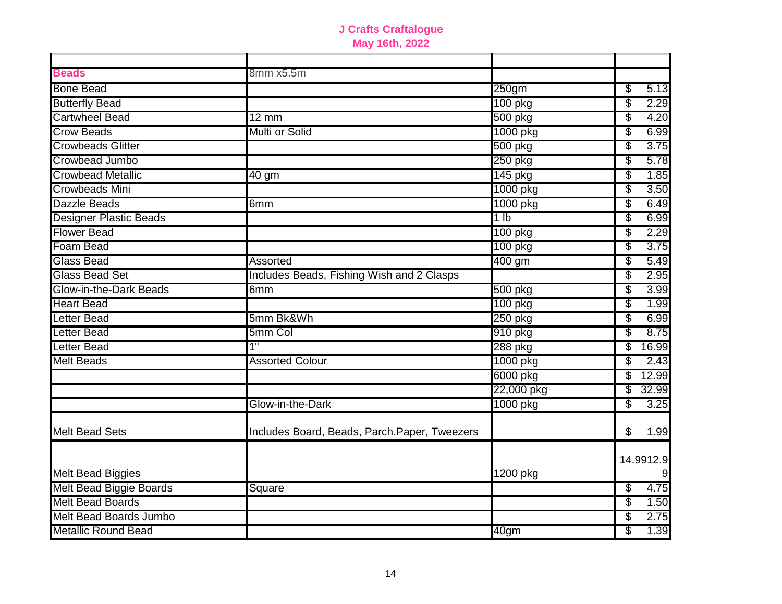| <b>Beads</b>                  | 8mm x5.5m                                    |                   |             |
|-------------------------------|----------------------------------------------|-------------------|-------------|
| <b>Bone Bead</b>              |                                              | 250 <sub>gm</sub> | 5.13<br>\$  |
| <b>Butterfly Bead</b>         |                                              | 100 pkg           | \$<br>2.29  |
| <b>Cartwheel Bead</b>         | $12 \text{ mm}$                              | 500 pkg           | 4.20<br>\$  |
| <b>Crow Beads</b>             | <b>Multi or Solid</b>                        | 1000 pkg          | \$<br>6.99  |
| <b>Crowbeads Glitter</b>      |                                              | 500 pkg           | 3.75<br>\$  |
| Crowbead Jumbo                |                                              | 250 pkg           | 5.78<br>\$  |
| <b>Crowbead Metallic</b>      | $40$ gm                                      | 145 pkg           | \$<br>1.85  |
| <b>Crowbeads Mini</b>         |                                              | 1000 pkg          | \$<br>3.50  |
| Dazzle Beads                  | 6mm                                          | 1000 pkg          | \$<br>6.49  |
| <b>Designer Plastic Beads</b> |                                              | 1 <sub>lb</sub>   | \$<br>6.99  |
| <b>Flower Bead</b>            |                                              | 100 pkg           | \$<br>2.29  |
| <b>Foam Bead</b>              |                                              | 100 pkg           | 3.75<br>\$  |
| <b>Glass Bead</b>             | Assorted                                     | 400 gm            | \$<br>5.49  |
| Glass Bead Set                | Includes Beads, Fishing Wish and 2 Clasps    |                   | \$<br>2.95  |
| Glow-in-the-Dark Beads        | 6mm                                          | 500 pkg           | \$<br>3.99  |
| <b>Heart Bead</b>             |                                              | 100 pkg           | \$<br>1.99  |
| <b>Letter Bead</b>            | 5mm Bk&Wh                                    | 250 pkg           | \$<br>6.99  |
| <b>Letter Bead</b>            | 5mm Col                                      | 910 pkg           | \$<br>8.75  |
| <b>Letter Bead</b>            | 1"                                           | 288 pkg           | 16.99<br>\$ |
| <b>Melt Beads</b>             | <b>Assorted Colour</b>                       | 1000 pkg          | \$<br>2.43  |
|                               |                                              | 6000 pkg          | 12.99<br>\$ |
|                               |                                              | 22,000 pkg        | \$<br>32.99 |
|                               | Glow-in-the-Dark                             | 1000 pkg          | \$<br>3.25  |
| <b>Melt Bead Sets</b>         | Includes Board, Beads, Parch.Paper, Tweezers |                   | \$<br>1.99  |
|                               |                                              |                   | 14.9912.9   |
| <b>Melt Bead Biggies</b>      |                                              | 1200 pkg          |             |
| Melt Bead Biggie Boards       | Square                                       |                   | 4.75<br>\$  |
| <b>Melt Bead Boards</b>       |                                              |                   | 1.50<br>\$  |
| Melt Bead Boards Jumbo        |                                              |                   | \$<br>2.75  |
| <b>Metallic Round Bead</b>    |                                              | 40 <sub>gm</sub>  | \$<br>1.39  |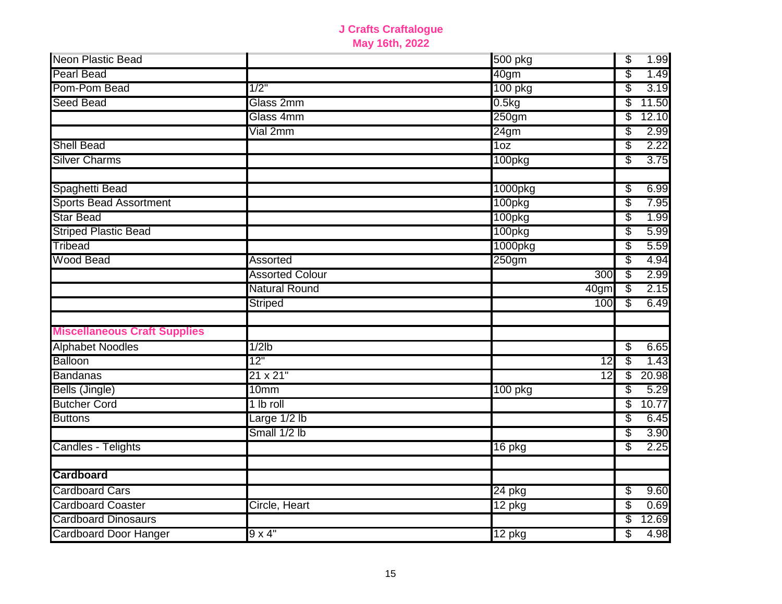| Neon Plastic Bead                   |                        | 500 pkg         | $\overline{\$}$          | 1.99  |
|-------------------------------------|------------------------|-----------------|--------------------------|-------|
| <b>Pearl Bead</b>                   |                        | 40gm            | \$                       | 1.49  |
| Pom-Pom Bead                        | 1/2"                   | 100 pkg         | \$                       | 3.19  |
| <b>Seed Bead</b>                    | Glass 2mm              | 0.5kg           | \$                       | 11.50 |
|                                     | Glass 4mm              | 250gm           | S                        | 12.10 |
|                                     | Vial 2mm               | 24gm            | \$                       | 2.99  |
| <b>Shell Bead</b>                   |                        | 1 <sub>oz</sub> | \$                       | 2.22  |
| <b>Silver Charms</b>                |                        | 100pkg          | S                        | 3.75  |
| Spaghetti Bead                      |                        | 1000pkg         | S                        | 6.99  |
| <b>Sports Bead Assortment</b>       |                        | 100pkg          | \$                       | 7.95  |
| <b>Star Bead</b>                    |                        | 100pkg          | \$                       | 1.99  |
| <b>Striped Plastic Bead</b>         |                        | 100pkg          | \$                       | 5.99  |
| <b>Tribead</b>                      |                        | 1000pkg         | \$                       | 5.59  |
| <b>Wood Bead</b>                    | Assorted               | 250gm           | S                        | 4.94  |
|                                     | <b>Assorted Colour</b> | 300             | $\overline{\mathcal{S}}$ | 2.99  |
|                                     | <b>Natural Round</b>   | 40gm            | \$                       | 2.15  |
|                                     | Striped                | 100             | S                        | 6.49  |
| <b>Miscellaneous Craft Supplies</b> |                        |                 |                          |       |
| <b>Alphabet Noodles</b>             | $1/2$ lb               |                 | \$                       | 6.65  |
| Balloon                             | 12"                    | 12              | \$                       | 1.43  |
| <b>Bandanas</b>                     | 21 x 21"               | $\overline{12}$ | S                        | 20.98 |
| Bells (Jingle)                      | 10 <sub>mm</sub>       | 100 pkg         | \$                       | 5.29  |
| <b>Butcher Cord</b>                 | 1 lb roll              |                 | \$                       | 10.77 |
| <b>Buttons</b>                      | Large 1/2 lb           |                 | \$                       | 6.45  |
|                                     | Small 1/2 lb           |                 | \$                       | 3.90  |
| Candles - Telights                  |                        | 16 pkg          | S                        | 2.25  |
| <b>Cardboard</b>                    |                        |                 |                          |       |
| <b>Cardboard Cars</b>               |                        | 24 pkg          | \$                       | 9.60  |
| <b>Cardboard Coaster</b>            | Circle, Heart          | 12 pkg          | \$                       | 0.69  |
| <b>Cardboard Dinosaurs</b>          |                        |                 | \$                       | 12.69 |
| <b>Cardboard Door Hanger</b>        | $9 \times 4"$          | 12 pkg          | \$                       | 4.98  |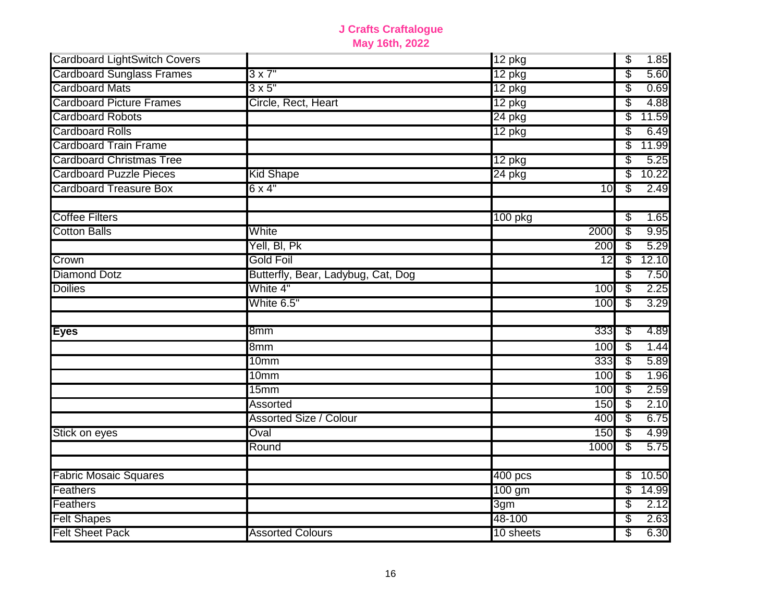| <b>Cardboard LightSwitch Covers</b> |                                    | 12 pkg              |                 | $\overline{\mathcal{E}}$ | 1.85  |
|-------------------------------------|------------------------------------|---------------------|-----------------|--------------------------|-------|
| <b>Cardboard Sunglass Frames</b>    | $3 \times 7"$                      | 12 pkg              |                 | \$                       | 5.60  |
| <b>Cardboard Mats</b>               | $3 \times 5$ "                     | 12 pkg              |                 | \$                       | 0.69  |
| <b>Cardboard Picture Frames</b>     | Circle, Rect, Heart                | 12 pkg              |                 | \$                       | 4.88  |
| <b>Cardboard Robots</b>             |                                    | 24 pkg              |                 | \$                       | 11.59 |
| <b>Cardboard Rolls</b>              |                                    | $\overline{12}$ pkg |                 | \$                       | 6.49  |
| <b>Cardboard Train Frame</b>        |                                    |                     |                 | \$                       | 11.99 |
| <b>Cardboard Christmas Tree</b>     |                                    | $12$ pkg            |                 | \$                       | 5.25  |
| <b>Cardboard Puzzle Pieces</b>      | <b>Kid Shape</b>                   | 24 pkg              |                 | \$                       | 10.22 |
| <b>Cardboard Treasure Box</b>       | $6 \times 4$ "                     |                     | 10              | S                        | 2.49  |
| <b>Coffee Filters</b>               |                                    | 100 pkg             |                 | \$                       | 1.65  |
| <b>Cotton Balls</b>                 | White                              |                     | 2000            | \$                       | 9.95  |
|                                     | Yell, BI, Pk                       |                     | 200             | \$                       | 5.29  |
| Crown                               | <b>Gold Foil</b>                   |                     | $\overline{12}$ | \$                       | 12.10 |
| <b>Diamond Dotz</b>                 | Butterfly, Bear, Ladybug, Cat, Dog |                     |                 | \$                       | 7.50  |
| <b>Doilies</b>                      | White 4"                           |                     | 100             | \$                       | 2.25  |
|                                     | White 6.5"                         |                     | 100             | \$                       | 3.29  |
|                                     | 8 <sub>mm</sub>                    |                     |                 |                          |       |
| <b>Eyes</b>                         |                                    |                     | 333             | S                        | 4.89  |
|                                     | 8mm                                |                     | 100             | S                        | 1.44  |
|                                     | 10mm                               |                     | 333             | \$                       | 5.89  |
|                                     | 10 <sub>mm</sub>                   |                     | 100             | S                        | 1.96  |
|                                     | 15mm                               |                     | 100             | \$                       | 2.59  |
|                                     | Assorted                           |                     | 150             | \$                       | 2.10  |
|                                     | <b>Assorted Size / Colour</b>      |                     | 400             | \$                       | 6.75  |
| Stick on eyes                       | Oval                               |                     | 150             | \$                       | 4.99  |
|                                     | Round                              |                     | 1000            | \$                       | 5.75  |
| <b>Fabric Mosaic Squares</b>        |                                    | 400 <sub>pcs</sub>  |                 | \$                       | 10.50 |
| Feathers                            |                                    | 100 gm              |                 | \$                       | 14.99 |
| Feathers                            |                                    | 3 <sub>gm</sub>     |                 | \$                       | 2.12  |
| <b>Felt Shapes</b>                  |                                    | 48-100              |                 | \$                       | 2.63  |
| <b>Felt Sheet Pack</b>              | <b>Assorted Colours</b>            | 10 sheets           |                 | \$                       | 6.30  |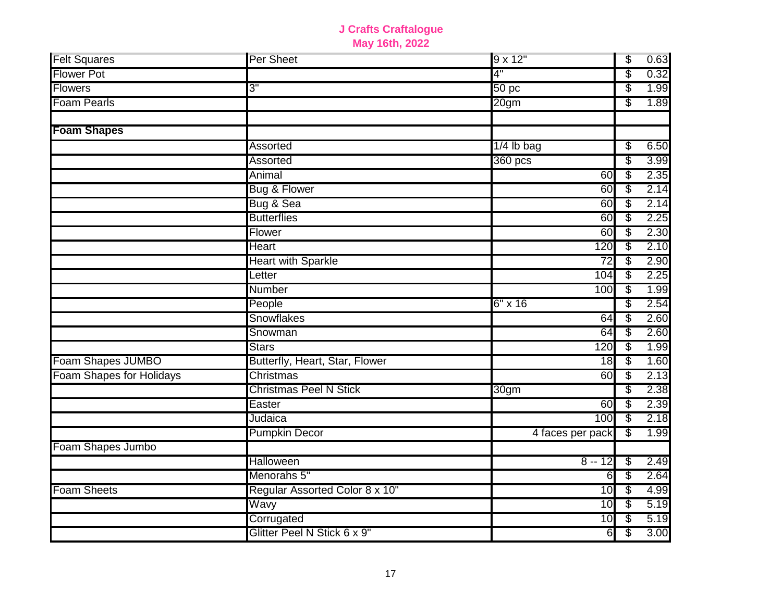| <b>Felt Squares</b>      | Per Sheet                      | 9 x 12"          | \$ | 0.63 |
|--------------------------|--------------------------------|------------------|----|------|
| <b>Flower Pot</b>        |                                | 4"               | \$ | 0.32 |
| Flowers                  | 3"                             | 50 <sub>pc</sub> | \$ | 1.99 |
| <b>Foam Pearls</b>       |                                | 20 <sub>gm</sub> | \$ | 1.89 |
|                          |                                |                  |    |      |
| <b>Foam Shapes</b>       |                                |                  |    |      |
|                          | Assorted                       | $1/4$ lb bag     | \$ | 6.50 |
|                          | Assorted                       | 360 pcs          | \$ | 3.99 |
|                          | Animal                         | 60               | \$ | 2.35 |
|                          | Bug & Flower                   | 60               | \$ | 2.14 |
|                          | Bug & Sea                      | 60               | \$ | 2.14 |
|                          | <b>Butterflies</b>             | 60               | \$ | 2.25 |
|                          | Flower                         | 60               | \$ | 2.30 |
|                          | <b>Heart</b>                   | 120              | \$ | 2.10 |
|                          | <b>Heart with Sparkle</b>      | $\overline{72}$  | \$ | 2.90 |
|                          | Letter                         | 104              | S  | 2.25 |
|                          | <b>Number</b>                  | 100              | \$ | 1.99 |
|                          | People                         | $6" \times 16$   | \$ | 2.54 |
|                          | <b>Snowflakes</b>              | 64               | \$ | 2.60 |
|                          | Snowman                        | 64               | \$ | 2.60 |
|                          | <b>Stars</b>                   | 120              | \$ | 1.99 |
| Foam Shapes JUMBO        | Butterfly, Heart, Star, Flower | 18               | \$ | 1.60 |
| Foam Shapes for Holidays | Christmas                      | 60               | \$ | 2.13 |
|                          | <b>Christmas Peel N Stick</b>  | 30gm             | \$ | 2.38 |
|                          | Easter                         | 60               | \$ | 2.39 |
|                          | Judaica                        | 100              | \$ | 2.18 |
|                          | <b>Pumpkin Decor</b>           | 4 faces per pack | S  | 1.99 |
| Foam Shapes Jumbo        |                                |                  |    |      |
|                          | Halloween                      | $8 - 12$         | \$ | 2.49 |
|                          | Menorahs 5"                    | 6                | \$ | 2.64 |
| <b>Foam Sheets</b>       | Regular Assorted Color 8 x 10" | 10               | \$ | 4.99 |
|                          | Wavy                           | 10               | \$ | 5.19 |
|                          | Corrugated                     | 10               | \$ | 5.19 |
|                          | Glitter Peel N Stick 6 x 9"    | 6                | \$ | 3.00 |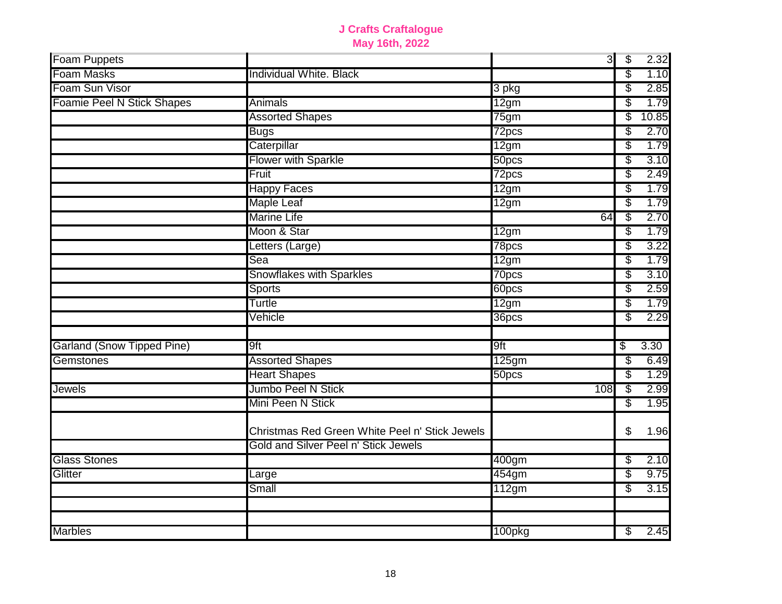| Foam Puppets                      |                                                | 3      | $\overline{\mathcal{L}}$ | 2.32  |
|-----------------------------------|------------------------------------------------|--------|--------------------------|-------|
| <b>Foam Masks</b>                 | Individual White. Black                        |        | \$                       | 1.10  |
| Foam Sun Visor                    |                                                | 3 pkg  | \$                       | 2.85  |
| Foamie Peel N Stick Shapes        | Animals                                        | 12gm   | \$                       | 1.79  |
|                                   | <b>Assorted Shapes</b>                         | 75gm   | \$                       | 10.85 |
|                                   | <b>Bugs</b>                                    | 72pcs  | \$                       | 2.70  |
|                                   | Caterpillar                                    | 12gm   | \$                       | 1.79  |
|                                   | <b>Flower with Sparkle</b>                     | 50pcs  | \$                       | 3.10  |
|                                   | Fruit                                          | 72pcs  | \$                       | 2.49  |
|                                   | <b>Happy Faces</b>                             | 12gm   | \$                       | 1.79  |
|                                   | <b>Maple Leaf</b>                              | 12gm   | \$                       | 1.79  |
|                                   | <b>Marine Life</b>                             | 64     | \$                       | 2.70  |
|                                   | Moon & Star                                    | 12gm   | \$                       | 1.79  |
|                                   | Letters (Large)                                | 78pcs  | \$                       | 3.22  |
|                                   | Sea                                            | 12gm   | \$                       | 1.79  |
|                                   | Snowflakes with Sparkles                       | 70pcs  | \$                       | 3.10  |
|                                   | <b>Sports</b>                                  | 60pcs  | \$                       | 2.59  |
|                                   | Turtle                                         | 12gm   | \$                       | 1.79  |
|                                   | Vehicle                                        | 36pcs  | \$                       | 2.29  |
|                                   |                                                |        |                          |       |
| <b>Garland (Snow Tipped Pine)</b> | 9ft                                            | 9ft    | \$                       | 3.30  |
| Gemstones                         | <b>Assorted Shapes</b>                         | 125gm  | \$                       | 6.49  |
|                                   | <b>Heart Shapes</b>                            | 50pcs  | \$                       | 1.29  |
| Jewels                            | Jumbo Peel N Stick                             | 108    | \$                       | 2.99  |
|                                   | Mini Peen N Stick                              |        | \$                       | 1.95  |
|                                   | Christmas Red Green White Peel n' Stick Jewels |        | \$                       | 1.96  |
|                                   | Gold and Silver Peel n' Stick Jewels           |        |                          |       |
| <b>Glass Stones</b>               |                                                | 400gm  | \$                       | 2.10  |
| Glitter                           | Large                                          | 454gm  | \$                       | 9.75  |
|                                   | Small                                          | 112gm  | \$                       | 3.15  |
|                                   |                                                |        |                          |       |
|                                   |                                                |        |                          |       |
| <b>Marbles</b>                    |                                                | 100pkg | \$                       | 2.45  |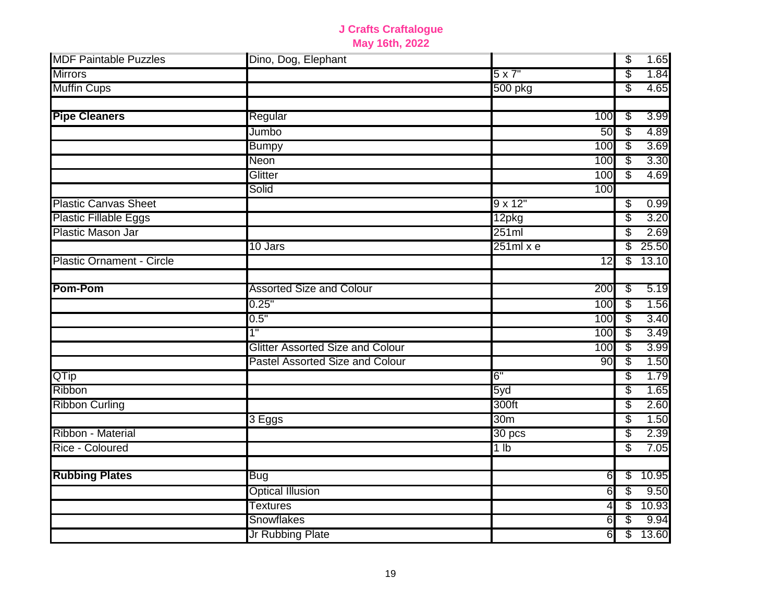| <b>MDF Paintable Puzzles</b>     | Dino, Dog, Elephant                     |                   |                  | $\overline{\mathcal{E}}$ | 1.65  |
|----------------------------------|-----------------------------------------|-------------------|------------------|--------------------------|-------|
| <b>Mirrors</b>                   |                                         | $5 \times 7"$     |                  | \$                       | 1.84  |
| <b>Muffin Cups</b>               |                                         | 500 pkg           |                  | \$                       | 4.65  |
|                                  |                                         |                   |                  |                          |       |
| <b>Pipe Cleaners</b>             | Regular                                 |                   | 100              | \$                       | 3.99  |
|                                  | Jumbo                                   |                   | 50               | $\overline{\$}$          | 4.89  |
|                                  | <b>Bumpy</b>                            |                   | 100              | \$                       | 3.69  |
|                                  | Neon                                    |                   | 100              | \$                       | 3.30  |
|                                  | Glitter                                 |                   | 100              | S                        | 4.69  |
|                                  | Solid                                   |                   | 100              |                          |       |
| <b>Plastic Canvas Sheet</b>      |                                         | 9 x 12"           |                  | \$                       | 0.99  |
| <b>Plastic Fillable Eggs</b>     |                                         | 12pkg             |                  | \$                       | 3.20  |
| Plastic Mason Jar                |                                         | 251ml             |                  | \$                       | 2.69  |
|                                  | 10 Jars                                 | $251ml \times e$  |                  | \$                       | 25.50 |
| <b>Plastic Ornament - Circle</b> |                                         |                   | $\overline{12}$  | \$                       | 13.10 |
|                                  |                                         |                   |                  |                          |       |
| <b>Pom-Pom</b>                   | <b>Assorted Size and Colour</b>         |                   | 200              | S                        | 5.19  |
|                                  | 0.25"                                   |                   | 100              | $\sqrt[6]{\frac{2}{5}}$  | 1.56  |
|                                  | 0.5"                                    |                   | 100              | S                        | 3.40  |
|                                  | 1"                                      |                   | 100              | \$                       | 3.49  |
|                                  | <b>Glitter Assorted Size and Colour</b> |                   | 100              | \$                       | 3.99  |
|                                  | Pastel Assorted Size and Colour         |                   | 90               | \$                       | 1.50  |
| QTip                             |                                         | 6"                |                  | \$                       | 1.79  |
| Ribbon                           |                                         | 5yd               |                  | \$                       | 1.65  |
| <b>Ribbon Curling</b>            |                                         | 300ft             |                  | \$                       | 2.60  |
|                                  | 3 Eggs                                  | 30 <sub>m</sub>   |                  | \$                       | 1.50  |
| Ribbon - Material                |                                         | 30 <sub>pos</sub> |                  | \$                       | 2.39  |
| Rice - Coloured                  |                                         | 1 <sub>lb</sub>   |                  | \$                       | 7.05  |
|                                  |                                         |                   |                  |                          |       |
| <b>Rubbing Plates</b>            | Bug                                     |                   | 61               | \$                       | 10.95 |
|                                  | <b>Optical Illusion</b>                 |                   | 6                | \$                       | 9.50  |
|                                  | <b>Textures</b>                         |                   | $\overline{4}$   | $\overline{\mathcal{E}}$ | 10.93 |
|                                  | Snowflakes                              |                   | $6 \overline{6}$ | \$                       | 9.94  |
|                                  | Jr Rubbing Plate                        |                   | 6                | \$                       | 13.60 |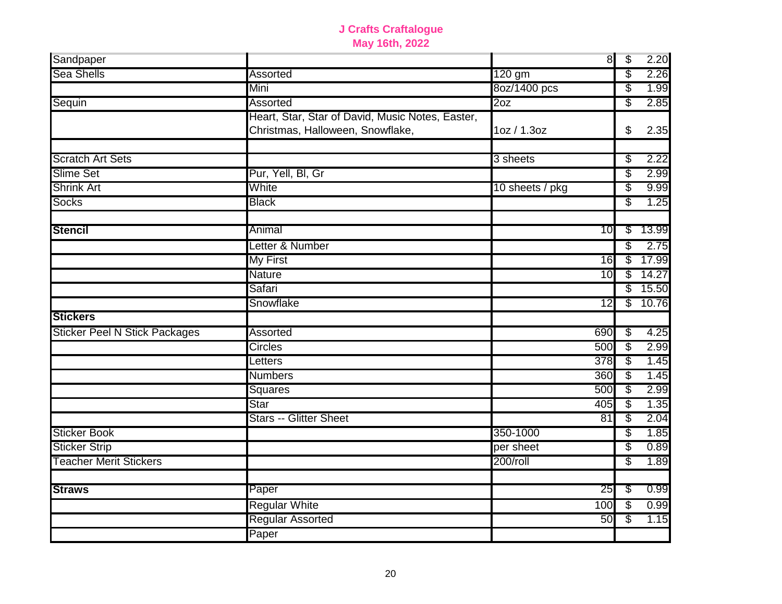| Sandpaper                            |                                                                                      |                 | 8 | $\overline{\mathcal{L}}$ | 2.20  |
|--------------------------------------|--------------------------------------------------------------------------------------|-----------------|---|--------------------------|-------|
| <b>Sea Shells</b>                    | <b>Assorted</b>                                                                      | 120 gm          |   | \$                       | 2.26  |
|                                      | Mini                                                                                 | 8oz/1400 pcs    |   | \$                       | 1.99  |
| Sequin                               | Assorted                                                                             | 20z             |   | \$                       | 2.85  |
|                                      | Heart, Star, Star of David, Music Notes, Easter,<br>Christmas, Halloween, Snowflake, | 1oz / 1.3oz     |   | \$                       | 2.35  |
| <b>Scratch Art Sets</b>              |                                                                                      | 3 sheets        |   | \$                       | 2.22  |
| <b>Slime Set</b>                     | Pur, Yell, Bl, Gr                                                                    |                 |   | \$                       | 2.99  |
| <b>Shrink Art</b>                    | White                                                                                | 10 sheets / pkg |   | \$                       | 9.99  |
| <b>Socks</b>                         | <b>Black</b>                                                                         |                 |   | S                        | 1.25  |
| <b>Stencil</b>                       | Animal                                                                               | 10              |   | \$                       | 13.99 |
|                                      | Letter & Number                                                                      |                 |   | \$                       | 2.75  |
|                                      | <b>My First</b>                                                                      | 16              |   | \$                       | 17.99 |
|                                      | <b>Nature</b>                                                                        | 10              |   | \$                       | 14.27 |
|                                      | Safari                                                                               |                 |   | \$                       | 15.50 |
|                                      | Snowflake                                                                            | 12              |   | \$                       | 10.76 |
| <b>Stickers</b>                      |                                                                                      |                 |   |                          |       |
| <b>Sticker Peel N Stick Packages</b> | Assorted                                                                             | 690             |   | \$                       | 4.25  |
|                                      | Circles                                                                              | 500             |   | $\overline{\$}$          | 2.99  |
|                                      | Letters                                                                              | 378             |   | $\sqrt[6]{\frac{2}{5}}$  | 1.45  |
|                                      | <b>Numbers</b>                                                                       | 360             |   | \$                       | 1.45  |
|                                      | Squares                                                                              | 500             |   | \$                       | 2.99  |
|                                      | <b>Star</b>                                                                          | 405             |   | \$                       | 1.35  |
|                                      | <b>Stars -- Glitter Sheet</b>                                                        | 81              |   | \$                       | 2.04  |
| <b>Sticker Book</b>                  |                                                                                      | 350-1000        |   | \$                       | 1.85  |
| <b>Sticker Strip</b>                 |                                                                                      | per sheet       |   | \$                       | 0.89  |
| <b>Teacher Merit Stickers</b>        |                                                                                      | 200/roll        |   | \$                       | 1.89  |
| <b>Straws</b>                        | Paper                                                                                | 25              |   | \$                       | 0.99  |
|                                      | <b>Regular White</b>                                                                 | 100             |   | \$                       | 0.99  |
|                                      | <b>Regular Assorted</b>                                                              | 50              |   | \$                       | 1.15  |
|                                      | Paper                                                                                |                 |   |                          |       |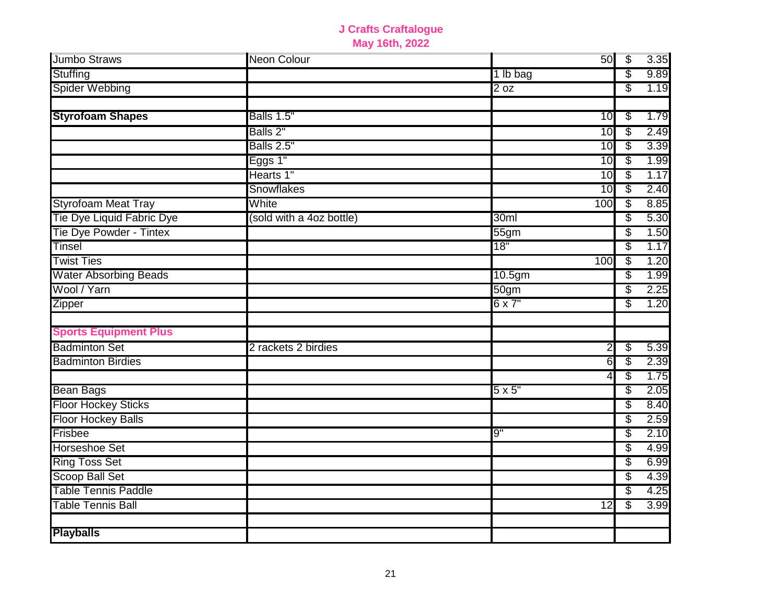| <b>Jumbo Straws</b>          | <b>Neon Colour</b>       |                    | 50              | $\overline{\mathcal{E}}$ | 3.35 |
|------------------------------|--------------------------|--------------------|-----------------|--------------------------|------|
| Stuffing                     |                          | 1 lb bag           |                 | \$                       | 9.89 |
| <b>Spider Webbing</b>        |                          | $\overline{2}$ oz  |                 | \$                       | 1.19 |
|                              |                          |                    |                 |                          |      |
| <b>Styrofoam Shapes</b>      | Balls 1.5"               |                    | 10              | \$                       | 1.79 |
|                              | Balls 2"                 |                    | 10              | \$                       | 2.49 |
|                              | <b>Balls 2.5"</b>        |                    | 10              | \$                       | 3.39 |
|                              | Eggs 1"                  |                    | 10              | \$                       | 1.99 |
|                              | Hearts 1"                |                    | 10              | \$                       | 1.17 |
|                              | Snowflakes               |                    | 10              | \$                       | 2.40 |
| <b>Styrofoam Meat Tray</b>   | White                    |                    | 100             | \$                       | 8.85 |
| Tie Dye Liquid Fabric Dye    | (sold with a 4oz bottle) | 30ml               |                 | \$                       | 5.30 |
| Tie Dye Powder - Tintex      |                          | 55 <sub>gm</sub>   |                 | \$                       | 1.50 |
| <b>Tinsel</b>                |                          | 18"                |                 | S                        | 1.17 |
| <b>Twist Ties</b>            |                          |                    | 100             | S                        | 1.20 |
| <b>Water Absorbing Beads</b> |                          | 10.5 <sub>gm</sub> |                 | \$                       | 1.99 |
| Wool / Yarn                  |                          | 50 <sub>gm</sub>   |                 | \$                       | 2.25 |
| <b>Zipper</b>                |                          | $6 \times 7"$      |                 | \$                       | 1.20 |
|                              |                          |                    |                 |                          |      |
| <b>Sports Equipment Plus</b> |                          |                    |                 |                          |      |
| <b>Badminton Set</b>         | 2 rackets 2 birdies      |                    | N)              | \$                       | 5.39 |
| <b>Badminton Birdies</b>     |                          |                    | 6               | \$                       | 2.39 |
|                              |                          |                    | 4               | \$                       | 1.75 |
| <b>Bean Bags</b>             |                          | $5\times 5"$       |                 | \$                       | 2.05 |
| <b>Floor Hockey Sticks</b>   |                          |                    |                 | \$                       | 8.40 |
| <b>Floor Hockey Balls</b>    |                          |                    |                 | \$                       | 2.59 |
| Frisbee                      |                          | 9"                 |                 | \$                       | 2.10 |
| <b>Horseshoe Set</b>         |                          |                    |                 | \$                       | 4.99 |
| <b>Ring Toss Set</b>         |                          |                    |                 | \$                       | 6.99 |
| <b>Scoop Ball Set</b>        |                          |                    |                 | S                        | 4.39 |
| <b>Table Tennis Paddle</b>   |                          |                    |                 | \$                       | 4.25 |
| <b>Table Tennis Ball</b>     |                          |                    | $\overline{12}$ | \$                       | 3.99 |
|                              |                          |                    |                 |                          |      |
| <b>Playballs</b>             |                          |                    |                 |                          |      |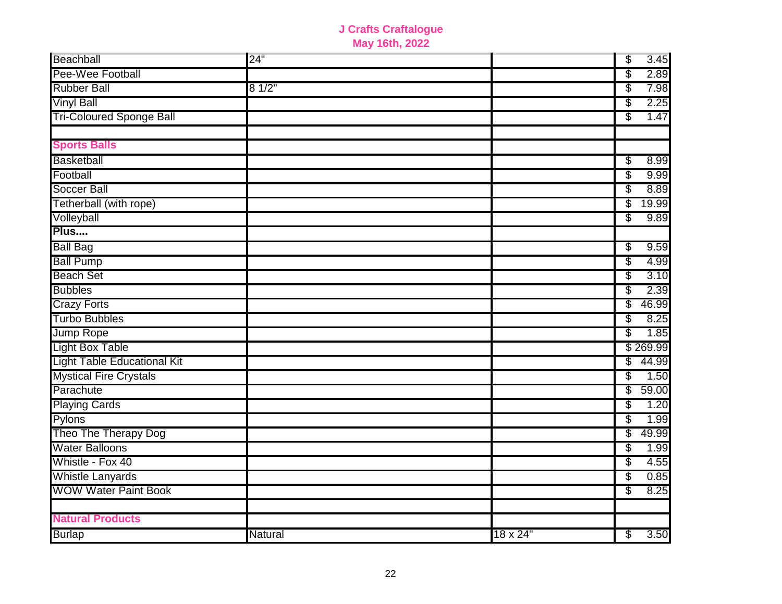| Beachball                          | 24"     |                  | $\overline{\mathcal{E}}$ | 3.45     |
|------------------------------------|---------|------------------|--------------------------|----------|
| Pee-Wee Football                   |         |                  | \$                       | 2.89     |
| <b>Rubber Ball</b>                 | 81/2"   |                  | \$                       | 7.98     |
| <b>Vinyl Ball</b>                  |         |                  | \$                       | 2.25     |
| <b>Tri-Coloured Sponge Ball</b>    |         |                  | S                        | 1.47     |
|                                    |         |                  |                          |          |
| <b>Sports Balls</b>                |         |                  |                          |          |
| Basketball                         |         |                  | \$                       | 8.99     |
| Football                           |         |                  | \$                       | 9.99     |
| <b>Soccer Ball</b>                 |         |                  | \$                       | 8.89     |
| Tetherball (with rope)             |         |                  | \$                       | 19.99    |
| Volleyball                         |         |                  | \$                       | 9.89     |
| Plus                               |         |                  |                          |          |
| <b>Ball Bag</b>                    |         |                  | S                        | 9.59     |
| <b>Ball Pump</b>                   |         |                  | \$                       | 4.99     |
| <b>Beach Set</b>                   |         |                  | \$                       | 3.10     |
| <b>Bubbles</b>                     |         |                  | \$                       | 2.39     |
| <b>Crazy Forts</b>                 |         |                  | \$                       | 46.99    |
| <b>Turbo Bubbles</b>               |         |                  | \$                       | 8.25     |
| Jump Rope                          |         |                  | \$                       | 1.85     |
| <b>Light Box Table</b>             |         |                  |                          | \$269.99 |
| <b>Light Table Educational Kit</b> |         |                  | \$                       | 44.99    |
| <b>Mystical Fire Crystals</b>      |         |                  | S                        | 1.50     |
| Parachute                          |         |                  | \$                       | 59.00    |
| <b>Playing Cards</b>               |         |                  | \$                       | 1.20     |
| Pylons                             |         |                  | \$                       | 1.99     |
| Theo The Therapy Dog               |         |                  | \$                       | 49.99    |
| <b>Water Balloons</b>              |         |                  | \$                       | 1.99     |
| Whistle - Fox 40                   |         |                  | \$                       | 4.55     |
| <b>Whistle Lanyards</b>            |         |                  | \$                       | 0.85     |
| <b>WOW Water Paint Book</b>        |         |                  | S                        | 8.25     |
| <b>Natural Products</b>            |         |                  |                          |          |
| <b>Burlap</b>                      | Natural | $18 \times 24$ " | \$                       | 3.50     |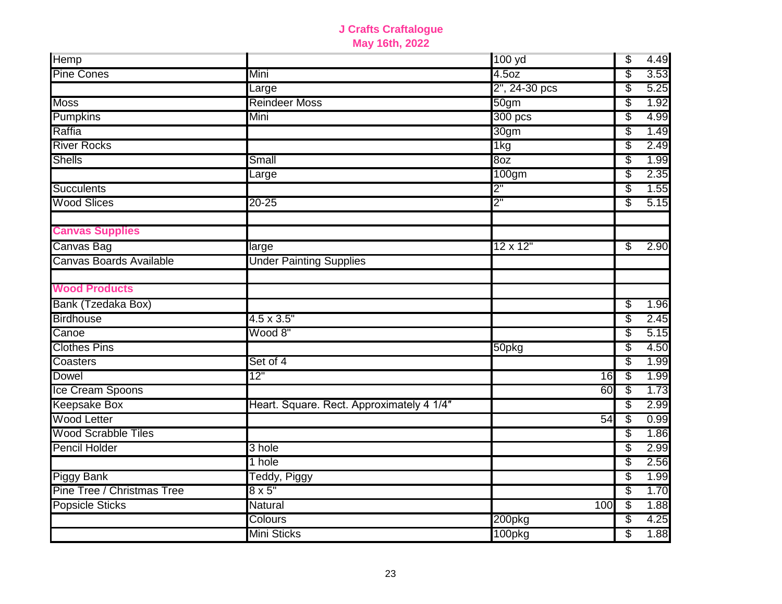| Hemp                           |                                           | 100 yd            | \$<br>4.49 |
|--------------------------------|-------------------------------------------|-------------------|------------|
| <b>Pine Cones</b>              | Mini                                      | 4.5 <sub>oz</sub> | \$<br>3.53 |
|                                | Large                                     | 2", 24-30 pcs     | \$<br>5.25 |
| <b>Moss</b>                    | <b>Reindeer Moss</b>                      | 50 <sub>gm</sub>  | \$<br>1.92 |
| Pumpkins                       | Mini                                      | $300$ pcs         | \$<br>4.99 |
| Raffia                         |                                           | 30gm              | \$<br>1.49 |
| <b>River Rocks</b>             |                                           | 1kg               | \$<br>2.49 |
| <b>Shells</b>                  | Small                                     | 80 <sub>Z</sub>   | \$<br>1.99 |
|                                | Large                                     | 100gm             | \$<br>2.35 |
| <b>Succulents</b>              |                                           | 2"                | \$<br>1.55 |
| <b>Wood Slices</b>             | $20 - 25$                                 | 2"                | \$<br>5.15 |
| <b>Canvas Supplies</b>         |                                           |                   |            |
| Canvas Bag                     | large                                     | $12 \times 12$ "  | \$<br>2.90 |
| <b>Canvas Boards Available</b> | <b>Under Painting Supplies</b>            |                   |            |
| <b>Wood Products</b>           |                                           |                   |            |
| Bank (Tzedaka Box)             |                                           |                   | \$<br>1.96 |
| <b>Birdhouse</b>               | $4.5 \times 3.5"$                         |                   | \$<br>2.45 |
| Canoe                          | Wood 8"                                   |                   | \$<br>5.15 |
| <b>Clothes Pins</b>            |                                           | 50pkg             | \$<br>4.50 |
| Coasters                       | Set of 4                                  |                   | \$<br>1.99 |
| Dowel                          | 12"                                       | 16                | \$<br>1.99 |
| Ice Cream Spoons               |                                           | 60                | \$<br>1.73 |
| <b>Keepsake Box</b>            | Heart. Square. Rect. Approximately 4 1/4" |                   | \$<br>2.99 |
| <b>Wood Letter</b>             |                                           | 54                | \$<br>0.99 |
| <b>Wood Scrabble Tiles</b>     |                                           |                   | \$<br>1.86 |
| <b>Pencil Holder</b>           | 3 hole                                    |                   | \$<br>2.99 |
|                                | 1 hole                                    |                   | \$<br>2.56 |
| <b>Piggy Bank</b>              | Teddy, Piggy                              |                   | \$<br>1.99 |
| Pine Tree / Christmas Tree     | $8 \times 5"$                             |                   | \$<br>1.70 |
| <b>Popsicle Sticks</b>         | Natural                                   | 100               | \$<br>1.88 |
|                                | Colours                                   | 200pkg            | \$<br>4.25 |
|                                | <b>Mini Sticks</b>                        | 100pkg            | \$<br>1.88 |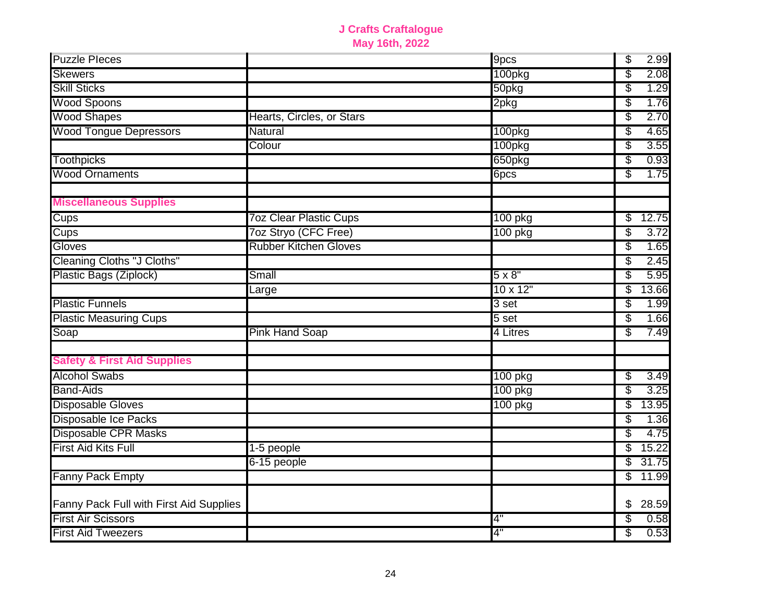| <b>Puzzle Pleces</b>                    |                               | 9pcs             | \$<br>2.99  |
|-----------------------------------------|-------------------------------|------------------|-------------|
| <b>Skewers</b>                          |                               | 100pkg           | \$<br>2.08  |
| <b>Skill Sticks</b>                     |                               | 50pkg            | \$<br>1.29  |
| <b>Wood Spoons</b>                      |                               | 2pkg             | \$<br>1.76  |
| <b>Wood Shapes</b>                      | Hearts, Circles, or Stars     |                  | S<br>2.70   |
| <b>Wood Tongue Depressors</b>           | Natural                       | 100pkg           | \$<br>4.65  |
|                                         | Colour                        | 100pkg           | \$<br>3.55  |
| <b>Toothpicks</b>                       |                               | 650pkg           | \$<br>0.93  |
| <b>Wood Ornaments</b>                   |                               | 6pcs             | \$<br>1.75  |
| <b>Miscellaneous Supplies</b>           |                               |                  |             |
| Cups                                    | <b>7oz Clear Plastic Cups</b> | 100 pkg          | S<br>12.75  |
| Cups                                    | 7oz Stryo (CFC Free)          | 100 pkg          | \$<br>3.72  |
| Gloves                                  | <b>Rubber Kitchen Gloves</b>  |                  | S<br>1.65   |
| <b>Cleaning Cloths "J Cloths"</b>       |                               |                  | \$<br>2.45  |
| Plastic Bags (Ziplock)                  | Small                         | $5 \times 8"$    | 5.95<br>\$  |
|                                         | Large                         | $10 \times 12"$  | \$<br>13.66 |
| <b>Plastic Funnels</b>                  |                               | 3 set            | \$<br>1.99  |
| <b>Plastic Measuring Cups</b>           |                               | 5 <sub>set</sub> | \$<br>1.66  |
| Soap                                    | <b>Pink Hand Soap</b>         | 4 Litres         | S<br>7.49   |
| <b>Safety &amp; First Aid Supplies</b>  |                               |                  |             |
| <b>Alcohol Swabs</b>                    |                               | 100 pkg          | 3.49<br>\$  |
| <b>Band-Aids</b>                        |                               | 100 pkg          | 3.25<br>S   |
| <b>Disposable Gloves</b>                |                               | 100 pkg          | \$<br>13.95 |
| <b>Disposable Ice Packs</b>             |                               |                  | \$<br>1.36  |
| Disposable CPR Masks                    |                               |                  | \$<br>4.75  |
| <b>First Aid Kits Full</b>              | 1-5 people                    |                  | \$<br>15.22 |
|                                         | 6-15 people                   |                  | \$<br>31.75 |
| Fanny Pack Empty                        |                               |                  | S<br>11.99  |
| Fanny Pack Full with First Aid Supplies |                               |                  | \$<br>28.59 |
| <b>First Air Scissors</b>               |                               | 4"               | S<br>0.58   |
| <b>First Aid Tweezers</b>               |                               | 4"               | 0.53<br>\$  |